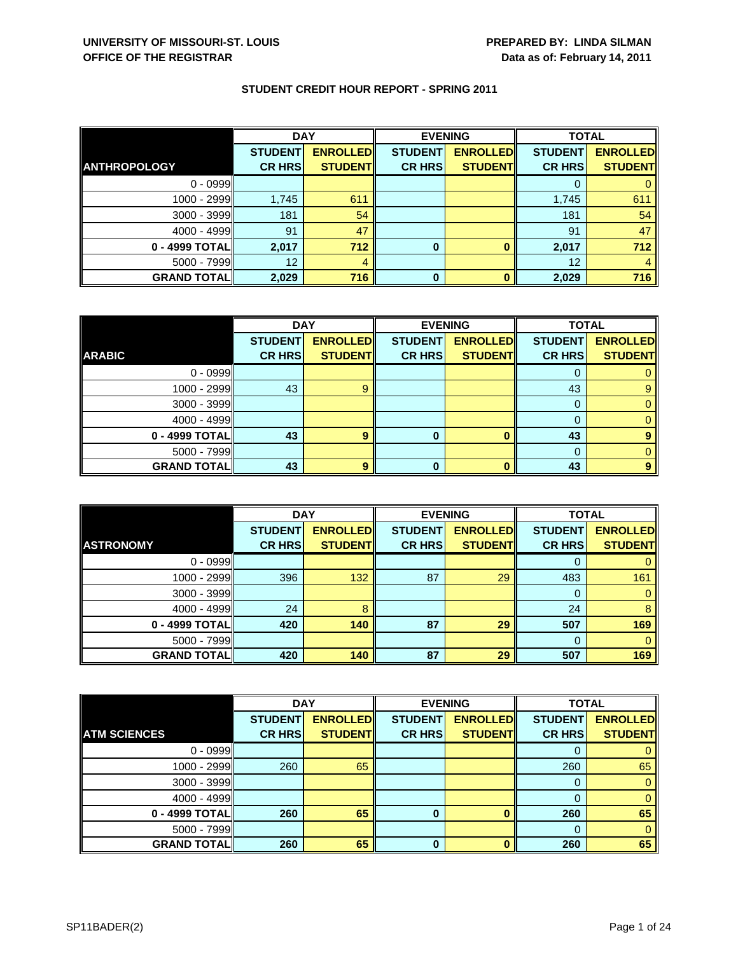|                     | <b>DAY</b>     |                 | <b>EVENING</b> |                 | <b>TOTAL</b>   |                 |
|---------------------|----------------|-----------------|----------------|-----------------|----------------|-----------------|
|                     | <b>STUDENT</b> | <b>ENROLLED</b> | <b>STUDENT</b> | <b>ENROLLED</b> | <b>STUDENT</b> | <b>ENROLLED</b> |
| <b>ANTHROPOLOGY</b> | <b>CR HRS</b>  | <b>STUDENT</b>  | <b>CR HRS</b>  | <b>STUDENT</b>  | <b>CR HRS</b>  | <b>STUDENT</b>  |
| $0 - 0999$          |                |                 |                |                 |                |                 |
| $1000 - 2999$       | 1,745          | 611             |                |                 | 1,745          | 611             |
| $3000 - 3999$       | 181            | 54              |                |                 | 181            | 54              |
| $4000 - 4999$       | 91             | 47              |                |                 | 91             | 47              |
| 0 - 4999 TOTAL      | 2,017          | 712             | 0              |                 | 2,017          | 712             |
| $5000 - 7999$       | 12             | 4               |                |                 | 12             |                 |
| <b>GRAND TOTAL</b>  | 2,029          | 716             | 0              |                 | 2,029          | 716             |

|                    | <b>DAY</b>     |                 |                | <b>EVENING</b>  | <b>TOTAL</b>   |                 |
|--------------------|----------------|-----------------|----------------|-----------------|----------------|-----------------|
|                    | <b>STUDENT</b> | <b>ENROLLED</b> | <b>STUDENT</b> | <b>ENROLLED</b> | <b>STUDENT</b> | <b>ENROLLED</b> |
| <b>ARABIC</b>      | <b>CR HRS</b>  | <b>STUDENT</b>  | <b>CR HRS</b>  | <b>STUDENT</b>  | <b>CR HRS</b>  | <b>STUDENT</b>  |
| $0 - 0999$         |                |                 |                |                 |                |                 |
| $1000 - 2999$      | 43             |                 |                |                 | 43             | 9               |
| $3000 - 3999$      |                |                 |                |                 | $\Omega$       |                 |
| $4000 - 4999$      |                |                 |                |                 |                |                 |
| 0 - 4999 TOTAL     | 43             | ą               | 0              |                 | 43             |                 |
| $5000 - 7999$      |                |                 |                |                 |                |                 |
| <b>GRAND TOTAL</b> | 43             |                 | 0              |                 | 43             |                 |

|                    | <b>DAY</b>     |                 | <b>EVENING</b> |                 | <b>TOTAL</b>   |                 |
|--------------------|----------------|-----------------|----------------|-----------------|----------------|-----------------|
|                    | <b>STUDENT</b> | <b>ENROLLED</b> | <b>STUDENT</b> | <b>ENROLLED</b> | <b>STUDENT</b> | <b>ENROLLED</b> |
| <b>ASTRONOMY</b>   | <b>CR HRS</b>  | <b>STUDENT</b>  | <b>CR HRS</b>  | <b>STUDENT</b>  | <b>CR HRS</b>  | <b>STUDENT</b>  |
| $0 - 0999$         |                |                 |                |                 |                |                 |
| 1000 - 2999        | 396            | 132             | 87             | 29              | 483            | 161             |
| 3000 - 3999        |                |                 |                |                 |                |                 |
| $4000 - 4999$      | 24             | 8               |                |                 | 24             | 8               |
| 0 - 4999 TOTAL     | 420            | 140             | 87             | 29              | 507            | 169             |
| $5000 - 7999$      |                |                 |                |                 |                |                 |
| <b>GRAND TOTAL</b> | 420            | 140             | 87             | 29              | 507            | 169             |

|                     | <b>DAY</b>     |                 | <b>EVENING</b> |                 | <b>TOTAL</b>   |                 |
|---------------------|----------------|-----------------|----------------|-----------------|----------------|-----------------|
|                     | <b>STUDENT</b> | <b>ENROLLED</b> | <b>STUDENT</b> | <b>ENROLLED</b> | <b>STUDENT</b> | <b>ENROLLED</b> |
| <b>ATM SCIENCES</b> | <b>CR HRS</b>  | <b>STUDENTI</b> | <b>CR HRS</b>  | <b>STUDENT</b>  | <b>CR HRS</b>  | <b>STUDENT</b>  |
| $0 - 0999$          |                |                 |                |                 |                |                 |
| 1000 - 2999         | 260            | 65              |                |                 | 260            | 65              |
| 3000 - 3999         |                |                 |                |                 | 0              |                 |
| 4000 - 4999         |                |                 |                |                 | 0              |                 |
| 0 - 4999 TOTAL      | 260            | 65              | 0              |                 | 260            | 65              |
| 5000 - 7999         |                |                 |                |                 |                | 0               |
| <b>GRAND TOTAL</b>  | 260            | 65              | 0              |                 | 260            | 65              |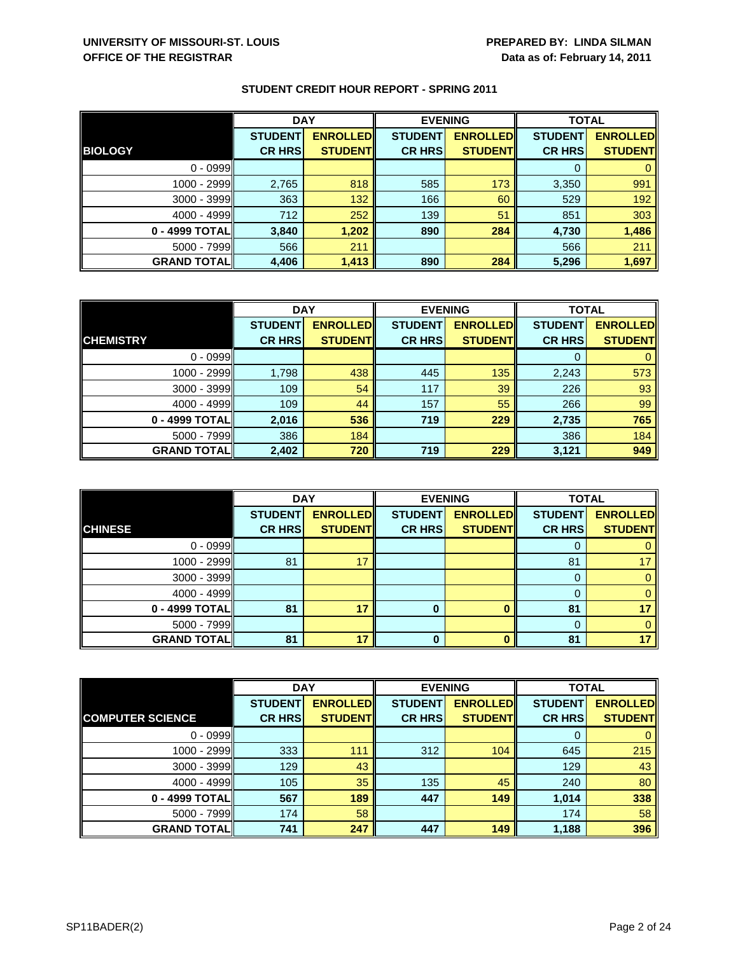|                    | <b>DAY</b>     |                 | <b>EVENING</b> |                 | <b>TOTAL</b>   |                 |
|--------------------|----------------|-----------------|----------------|-----------------|----------------|-----------------|
|                    | <b>STUDENT</b> | <b>ENROLLED</b> | <b>STUDENT</b> | <b>ENROLLED</b> | <b>STUDENT</b> | <b>ENROLLED</b> |
| <b>BIOLOGY</b>     | <b>CR HRS</b>  | <b>STUDENT</b>  | <b>CR HRS</b>  | <b>STUDENT</b>  | <b>CR HRS</b>  | <b>STUDENT</b>  |
| $0 - 0999$         |                |                 |                |                 |                |                 |
| $1000 - 2999$      | 2,765          | 818             | 585            | 173             | 3,350          | 991             |
| 3000 - 3999        | 363            | 132             | 166            | 60              | 529            | 192             |
| $4000 - 4999$      | 712            | 252             | 139            | 51              | 851            | 303             |
| 0 - 4999 TOTAL     | 3,840          | 1,202           | 890            | 284             | 4,730          | 1,486           |
| 5000 - 7999        | 566            | 211             |                |                 | 566            | 211             |
| <b>GRAND TOTAL</b> | 4,406          | 1,413           | 890            | 284             | 5,296          | 1,697           |

|                    | <b>DAY</b>     |                  | <b>EVENING</b> |                 | <b>TOTAL</b>   |                 |
|--------------------|----------------|------------------|----------------|-----------------|----------------|-----------------|
|                    | <b>STUDENT</b> | <b>ENROLLEDI</b> | <b>STUDENT</b> | <b>ENROLLED</b> | <b>STUDENT</b> | <b>ENROLLED</b> |
| <b>CHEMISTRY</b>   | <b>CR HRS</b>  | <b>STUDENT</b>   | <b>CR HRS</b>  | <b>STUDENT</b>  | <b>CR HRS</b>  | <b>STUDENT</b>  |
| $0 - 0999$         |                |                  |                |                 | 0              | 0               |
| 1000 - 2999        | 1,798          | 438              | 445            | 135             | 2,243          | 573             |
| $3000 - 3999$      | 109            | 54               | 117            | 39              | 226            | 93              |
| $4000 - 4999$      | 109            | 44               | 157            | 55              | 266            | 99              |
| 0 - 4999 TOTAL     | 2,016          | 536              | 719            | 229             | 2,735          | 765             |
| $5000 - 7999$      | 386            | 184              |                |                 | 386            | 184             |
| <b>GRAND TOTAL</b> | 2,402          | 720              | 719            | 229             | 3,121          | 949             |

|                     | <b>DAY</b>     |                 |                | <b>EVENING</b>  | <b>TOTAL</b>   |                 |
|---------------------|----------------|-----------------|----------------|-----------------|----------------|-----------------|
|                     | <b>STUDENT</b> | <b>ENROLLED</b> | <b>STUDENT</b> | <b>ENROLLED</b> | <b>STUDENT</b> | <b>ENROLLED</b> |
| <b>CHINESE</b>      | <b>CR HRS</b>  | <b>STUDENT</b>  | <b>CR HRS</b>  | <b>STUDENT</b>  | <b>CR HRS</b>  | <b>STUDENT</b>  |
| $0 - 0999$          |                |                 |                |                 | O              |                 |
| $1000 - 2999$       | 81             | 17              |                |                 | 81             | 17              |
| $3000 - 3999$       |                |                 |                |                 | 0              |                 |
| $4000 - 4999$       |                |                 |                |                 | 0              |                 |
| 0 - 4999 TOTAL      | 81             | 17              | 0              |                 | 81             | 17              |
| $5000 - 7999$       |                |                 |                |                 | $\Omega$       |                 |
| <b>GRAND TOTALI</b> | 81             | 17              | 0              |                 | 81             | 17              |

|                         | <b>DAY</b>     |                  | <b>EVENING</b> |                 | <b>TOTAL</b>   |                 |
|-------------------------|----------------|------------------|----------------|-----------------|----------------|-----------------|
|                         | <b>STUDENT</b> | <b>ENROLLEDI</b> | <b>STUDENT</b> | <b>ENROLLED</b> | <b>STUDENT</b> | <b>ENROLLED</b> |
| <b>COMPUTER SCIENCE</b> | <b>CR HRS</b>  | <b>STUDENT</b>   | <b>CR HRS</b>  | <b>STUDENT</b>  | <b>CR HRS</b>  | <b>STUDENT</b>  |
| $0 - 0999$              |                |                  |                |                 | O              | 0               |
| 1000 - 2999             | 333            | 111              | 312            | 104             | 645            | 215             |
| $3000 - 3999$           | 129            | 43               |                |                 | 129            | 43              |
| $4000 - 4999$           | 105            | 35               | 135            | 45              | 240            | 80              |
| 0 - 4999 TOTAL          | 567            | 189              | 447            | 149             | 1,014          | 338             |
| $5000 - 7999$           | 174            | 58               |                |                 | 174            | 58              |
| <b>GRAND TOTAL</b>      | 741            | 247              | 447            | 149             | 1,188          | 396             |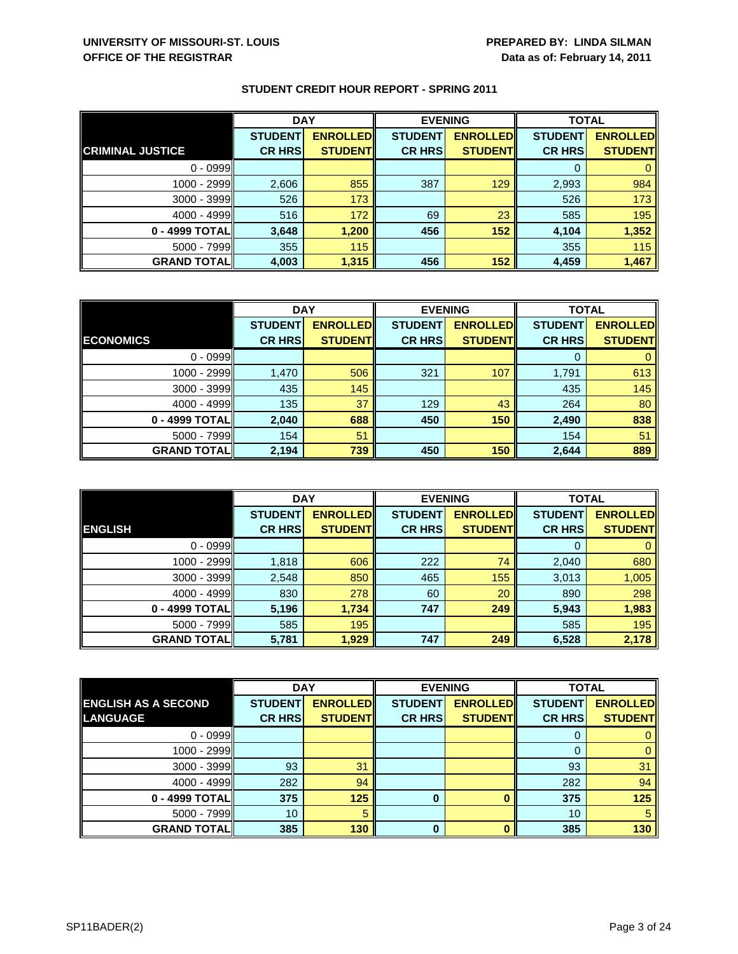|                         | <b>DAY</b>     |                 | <b>EVENING</b> |                 | <b>TOTAL</b>   |                 |
|-------------------------|----------------|-----------------|----------------|-----------------|----------------|-----------------|
|                         | <b>STUDENT</b> | <b>ENROLLED</b> | <b>STUDENT</b> | <b>ENROLLED</b> | <b>STUDENT</b> | <b>ENROLLED</b> |
| <b>CRIMINAL JUSTICE</b> | <b>CR HRS</b>  | <b>STUDENT</b>  | <b>CR HRS</b>  | <b>STUDENT</b>  | <b>CR HRS</b>  | <b>STUDENT</b>  |
| $0 - 0999$              |                |                 |                |                 |                |                 |
| $1000 - 2999$           | 2,606          | 855             | 387            | 129             | 2,993          | 984             |
| 3000 - 3999             | 526            | 173             |                |                 | 526            | 173             |
| $4000 - 4999$           | 516            | 172             | 69             | 23              | 585            | 195             |
| 0 - 4999 TOTAL          | 3,648          | 1,200           | 456            | 152             | 4,104          | 1,352           |
| $5000 - 7999$           | 355            | 115             |                |                 | 355            | 115             |
| <b>GRAND TOTAL</b>      | 4,003          | 1,315           | 456            | 152             | 4,459          | 1,467           |

|                    |                | <b>DAY</b>       |                | <b>EVENING</b>  | <b>TOTAL</b>   |                 |
|--------------------|----------------|------------------|----------------|-----------------|----------------|-----------------|
|                    | <b>STUDENT</b> | <b>ENROLLEDI</b> | <b>STUDENT</b> | <b>ENROLLED</b> | <b>STUDENT</b> | <b>ENROLLED</b> |
| <b>ECONOMICS</b>   | <b>CR HRS</b>  | <b>STUDENT</b>   | <b>CR HRS</b>  | <b>STUDENT</b>  | <b>CR HRS</b>  | <b>STUDENT</b>  |
| $0 - 0999$         |                |                  |                |                 | 0              | $\mathbf{0}$    |
| 1000 - 2999        | 1,470          | 506              | 321            | 107             | 1,791          | 613             |
| $3000 - 3999$      | 435            | 145              |                |                 | 435            | 145             |
| $4000 - 4999$      | 135            | 37               | 129            | 43              | 264            | 80              |
| 0 - 4999 TOTAL     | 2,040          | 688              | 450            | 150             | 2,490          | 838             |
| $5000 - 7999$      | 154            | 51               |                |                 | 154            | 51              |
| <b>GRAND TOTAL</b> | 2,194          | 739              | 450            | 150             | 2,644          | 889             |

|                     | <b>DAY</b>     |                 |                | <b>EVENING</b>  | <b>TOTAL</b>   |                 |
|---------------------|----------------|-----------------|----------------|-----------------|----------------|-----------------|
|                     | <b>STUDENT</b> | <b>ENROLLED</b> | <b>STUDENT</b> | <b>ENROLLED</b> | <b>STUDENT</b> | <b>ENROLLED</b> |
| <b>ENGLISH</b>      | <b>CR HRS</b>  | <b>STUDENT</b>  | <b>CR HRS</b>  | <b>STUDENT</b>  | <b>CR HRS</b>  | <b>STUDENT</b>  |
| $0 - 0999$          |                |                 |                |                 | 0              | $\mathbf{0}$    |
| 1000 - 2999         | 1,818          | 606             | 222            | 74              | 2,040          | 680             |
| $3000 - 3999$       | 2,548          | 850             | 465            | 155             | 3,013          | 1,005           |
| $4000 - 4999$       | 830            | 278             | 60             | 20              | 890            | 298             |
| 0 - 4999 TOTAL      | 5,196          | 1,734           | 747            | 249             | 5,943          | 1,983           |
| $5000 - 7999$       | 585            | 195             |                |                 | 585            | 195             |
| <b>GRAND TOTALI</b> | 5,781          | 1,929           | 747            | 249             | 6,528          | 2,178           |

|                            | <b>DAY</b>     |                 |                | <b>EVENING</b>  | <b>TOTAL</b>   |                 |
|----------------------------|----------------|-----------------|----------------|-----------------|----------------|-----------------|
| <b>ENGLISH AS A SECOND</b> | <b>STUDENT</b> | <b>ENROLLED</b> | <b>STUDENT</b> | <b>ENROLLED</b> | <b>STUDENT</b> | <b>ENROLLED</b> |
| <b>LANGUAGE</b>            | <b>CR HRS</b>  | <b>STUDENT</b>  | <b>CR HRS</b>  | <b>STUDENT</b>  | <b>CR HRS</b>  | <b>STUDENT</b>  |
| $0 - 0999$                 |                |                 |                |                 | O              |                 |
| 1000 - 2999                |                |                 |                |                 | 0              | 0               |
| $3000 - 3999$              | 93             | 31              |                |                 | 93             | 31              |
| $4000 - 4999$              | 282            | 94              |                |                 | 282            | 94              |
| 0 - 4999 TOTAL             | 375            | 125             | 0              |                 | 375            | 125             |
| $5000 - 7999$              | 10             | 5               |                |                 | 10             | 5               |
| <b>GRAND TOTAL</b>         | 385            | 130             | $\bf{0}$       |                 | 385            | 130             |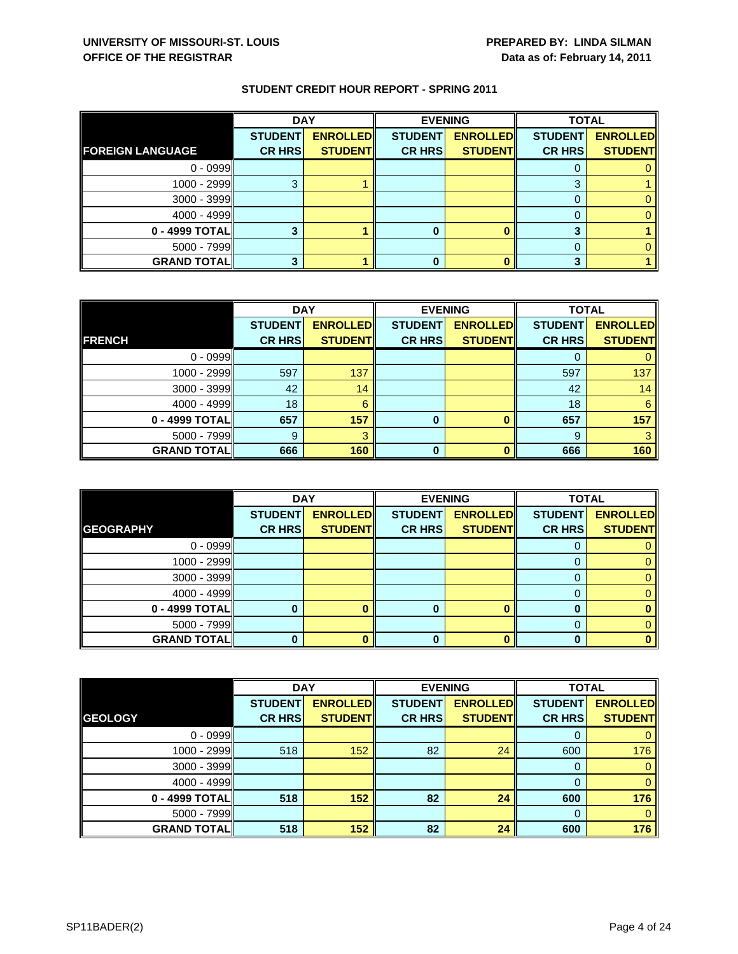|                         | <b>DAY</b>     |                 | <b>EVENING</b> |                 | <b>TOTAL</b>   |                 |
|-------------------------|----------------|-----------------|----------------|-----------------|----------------|-----------------|
|                         | <b>STUDENT</b> | <b>ENROLLED</b> | <b>STUDENT</b> | <b>ENROLLED</b> | <b>STUDENT</b> | <b>ENROLLED</b> |
| <b>FOREIGN LANGUAGE</b> | <b>CR HRS</b>  | <b>STUDENT</b>  | <b>CR HRS</b>  | <b>STUDENT</b>  | <b>CR HRS</b>  | <b>STUDENT</b>  |
| $0 - 0999$              |                |                 |                |                 |                |                 |
| $1000 - 2999$           |                |                 |                |                 | 3              |                 |
| $3000 - 3999$           |                |                 |                |                 |                |                 |
| $4000 - 4999$           |                |                 |                |                 |                |                 |
| 0 - 4999 TOTAL          |                |                 | 0              |                 |                |                 |
| $5000 - 7999$           |                |                 |                |                 |                |                 |
| <b>GRAND TOTAL</b>      |                |                 | 0              |                 |                |                 |

|                    | <b>DAY</b>     |                 |                | <b>EVENING</b>  | <b>TOTAL</b>   |                 |
|--------------------|----------------|-----------------|----------------|-----------------|----------------|-----------------|
|                    | <b>STUDENT</b> | <b>ENROLLED</b> | <b>STUDENT</b> | <b>ENROLLED</b> | <b>STUDENT</b> | <b>ENROLLED</b> |
| <b>FRENCH</b>      | <b>CR HRS</b>  | <b>STUDENT</b>  | <b>CR HRS</b>  | <b>STUDENT</b>  | <b>CR HRS</b>  | <b>STUDENT</b>  |
| $0 - 0999$         |                |                 |                |                 |                |                 |
| $1000 - 2999$      | 597            | 137             |                |                 | 597            | 137             |
| 3000 - 3999        | 42             | 14              |                |                 | 42             | 14              |
| $4000 - 4999$      | 18             | 6               |                |                 | 18             | 6               |
| 0 - 4999 TOTAL     | 657            | 157             | 0              |                 | 657            | 157             |
| $5000 - 7999$      | 9              | 3               |                |                 | -9             |                 |
| <b>GRAND TOTAL</b> | 666            | 160             | ŋ              |                 | 666            | 160             |

|                    |                                 | <b>DAY</b>                        |                                 | <b>EVENING</b>                    | <b>TOTAL</b>                    |                                   |
|--------------------|---------------------------------|-----------------------------------|---------------------------------|-----------------------------------|---------------------------------|-----------------------------------|
| <b>GEOGRAPHY</b>   | <b>STUDENT</b><br><b>CR HRS</b> | <b>ENROLLED</b><br><b>STUDENT</b> | <b>STUDENT</b><br><b>CR HRS</b> | <b>ENROLLED</b><br><b>STUDENT</b> | <b>STUDENT</b><br><b>CR HRS</b> | <b>ENROLLED</b><br><b>STUDENT</b> |
|                    |                                 |                                   |                                 |                                   |                                 |                                   |
| $0 - 0999$         |                                 |                                   |                                 |                                   |                                 |                                   |
| 1000 - 2999        |                                 |                                   |                                 |                                   |                                 |                                   |
| $3000 - 3999$      |                                 |                                   |                                 |                                   |                                 |                                   |
| $4000 - 4999$      |                                 |                                   |                                 |                                   | $\Omega$                        |                                   |
| 0 - 4999 TOTAL     |                                 |                                   |                                 | O                                 |                                 |                                   |
| $5000 - 7999$      |                                 |                                   |                                 |                                   |                                 |                                   |
| <b>GRAND TOTAL</b> |                                 |                                   | 0                               |                                   | 0                               |                                   |

|                    | <b>DAY</b>     |                 |                | <b>EVENING</b>  | <b>TOTAL</b>   |                 |
|--------------------|----------------|-----------------|----------------|-----------------|----------------|-----------------|
|                    | <b>STUDENT</b> | <b>ENROLLED</b> | <b>STUDENT</b> | <b>ENROLLED</b> | <b>STUDENT</b> | <b>ENROLLED</b> |
| <b>GEOLOGY</b>     | <b>CR HRS</b>  | <b>STUDENT</b>  | <b>CR HRS</b>  | <b>STUDENT</b>  | <b>CR HRS</b>  | <b>STUDENT</b>  |
| $0 - 0999$         |                |                 |                |                 | 0              | 0               |
| 1000 - 2999        | 518            | 152             | 82             | 24              | 600            | 176             |
| $3000 - 3999$      |                |                 |                |                 | 0              | $\mathbf{0}$    |
| $4000 - 4999$      |                |                 |                |                 | $\Omega$       | $\mathbf{0}$    |
| 0 - 4999 TOTAL     | 518            | 152             | 82             | 24              | 600            | 176             |
| $5000 - 7999$      |                |                 |                |                 | $\Omega$       | $\Omega$        |
| <b>GRAND TOTAL</b> | 518            | 152             | 82             | 24              | 600            | 176             |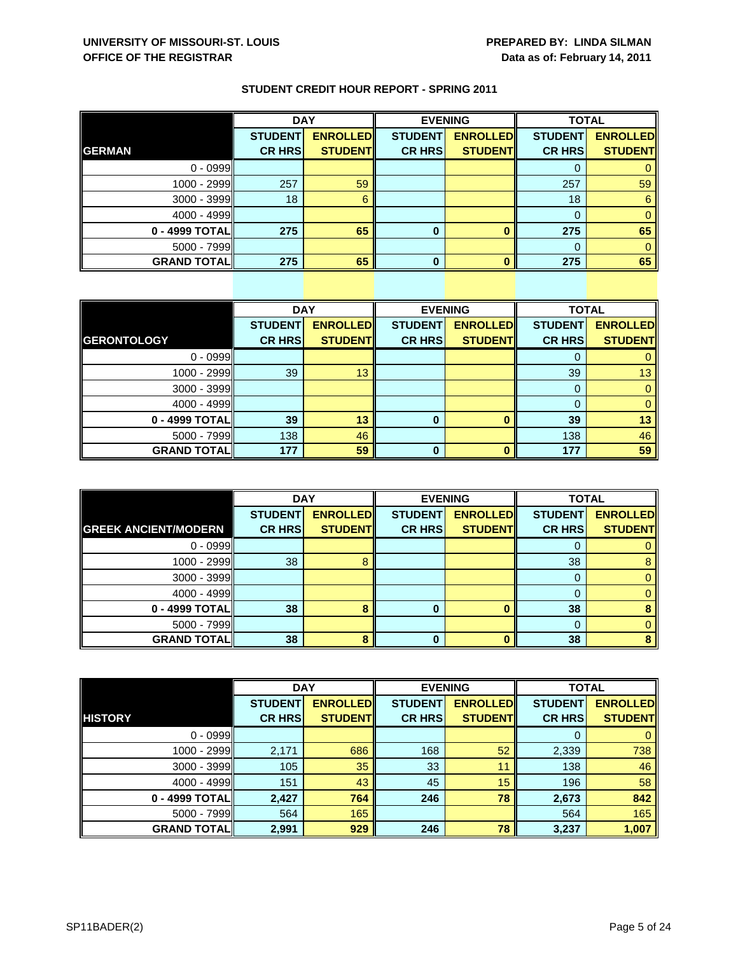|                    | <b>DAY</b>     |                 |                | <b>EVENING</b>  |                | <b>TOTAL</b>    |  |
|--------------------|----------------|-----------------|----------------|-----------------|----------------|-----------------|--|
|                    | <b>STUDENT</b> | <b>ENROLLED</b> | <b>STUDENT</b> | <b>ENROLLED</b> | <b>STUDENT</b> | <b>ENROLLED</b> |  |
| <b>GERMAN</b>      | <b>CR HRS</b>  | <b>STUDENT</b>  | <b>CR HRS</b>  | <b>STUDENT</b>  | <b>CR HRS</b>  | <b>STUDENT</b>  |  |
| $0 - 0999$         |                |                 |                |                 |                |                 |  |
| 1000 - 2999        | 257            | 59              |                |                 | 257            | 59              |  |
| 3000 - 3999        | 18             | 6               |                |                 | 18             | 6               |  |
| $4000 - 4999$      |                |                 |                |                 |                |                 |  |
| 0 - 4999 TOTAL     | 275            | 65              | 0              |                 | 275            | 65              |  |
| $5000 - 7999$      |                |                 |                |                 |                |                 |  |
| <b>GRAND TOTAL</b> | 275            | 65              | U              |                 | 275            | 65              |  |

|                    | <b>DAY</b>     |                 |                | <b>EVENING</b>  | <b>TOTAL</b>   |                 |
|--------------------|----------------|-----------------|----------------|-----------------|----------------|-----------------|
|                    | <b>STUDENT</b> | <b>ENROLLED</b> | <b>STUDENT</b> | <b>ENROLLED</b> | <b>STUDENT</b> | <b>ENROLLED</b> |
| <b>GERONTOLOGY</b> | <b>CR HRS</b>  | <b>STUDENT</b>  | <b>CR HRS</b>  | <b>STUDENT</b>  | <b>CR HRS</b>  | <b>STUDENT</b>  |
| $0 - 0999$         |                |                 |                |                 | $\Omega$       | 0               |
| 1000 - 2999        | 39             | 13              |                |                 | 39             | 13              |
| 3000 - 3999        |                |                 |                |                 | $\Omega$       | $\mathbf{0}$    |
| $4000 - 4999$      |                |                 |                |                 | 0              | $\mathbf{0}$    |
| 0 - 4999 TOTAL     | 39             | 13              | $\bf{0}$       |                 | 39             | 13              |
| $5000 - 7999$      | 138            | 46              |                |                 | 138            | 46              |
| <b>GRAND TOTAL</b> | 177            | 59              | 0              |                 | 177            | 59              |

|                             | <b>DAY</b>     |                 | <b>EVENING</b> |                 | <b>TOTAL</b>   |                 |
|-----------------------------|----------------|-----------------|----------------|-----------------|----------------|-----------------|
|                             | <b>STUDENT</b> | <b>ENROLLED</b> | <b>STUDENT</b> | <b>ENROLLED</b> | <b>STUDENT</b> | <b>ENROLLED</b> |
| <b>GREEK ANCIENT/MODERN</b> | <b>CR HRS</b>  | <b>STUDENT</b>  | <b>CR HRS</b>  | <b>STUDENT</b>  | <b>CR HRS</b>  | <b>STUDENT</b>  |
| $0 - 0999$                  |                |                 |                |                 | O              |                 |
| 1000 - 2999                 | 38             | 8               |                |                 | 38             | 8               |
| 3000 - 3999                 |                |                 |                |                 | 0              |                 |
| $4000 - 4999$               |                |                 |                |                 |                |                 |
| 0 - 4999 TOTAL              | 38             | 8               |                |                 | 38             |                 |
| $5000 - 7999$               |                |                 |                |                 |                |                 |
| <b>GRAND TOTALI</b>         | 38             |                 | 0              |                 | 38             |                 |

|                    | <b>DAY</b>     |                 |                | <b>EVENING</b>  | <b>TOTAL</b>   |                 |
|--------------------|----------------|-----------------|----------------|-----------------|----------------|-----------------|
|                    | <b>STUDENT</b> | <b>ENROLLED</b> | <b>STUDENT</b> | <b>ENROLLED</b> | <b>STUDENT</b> | <b>ENROLLED</b> |
| <b>HISTORY</b>     | <b>CR HRS</b>  | <b>STUDENT</b>  | <b>CR HRS</b>  | <b>STUDENT</b>  | <b>CR HRS</b>  | <b>STUDENT</b>  |
| $0 - 0999$         |                |                 |                |                 | 0              | $\mathbf{0}$    |
| 1000 - 2999        | 2,171          | 686             | 168            | 52              | 2,339          | 738             |
| 3000 - 3999        | 105            | 35              | 33             | 11              | 138            | 46              |
| $4000 - 4999$      | 151            | 43              | 45             | 15              | 196            | 58              |
| 0 - 4999 TOTAL     | 2,427          | 764             | 246            | 78              | 2,673          | 842             |
| $5000 - 7999$      | 564            | 165             |                |                 | 564            | 165             |
| <b>GRAND TOTAL</b> | 2,991          | 929             | 246            | 78              | 3,237          | 1,007           |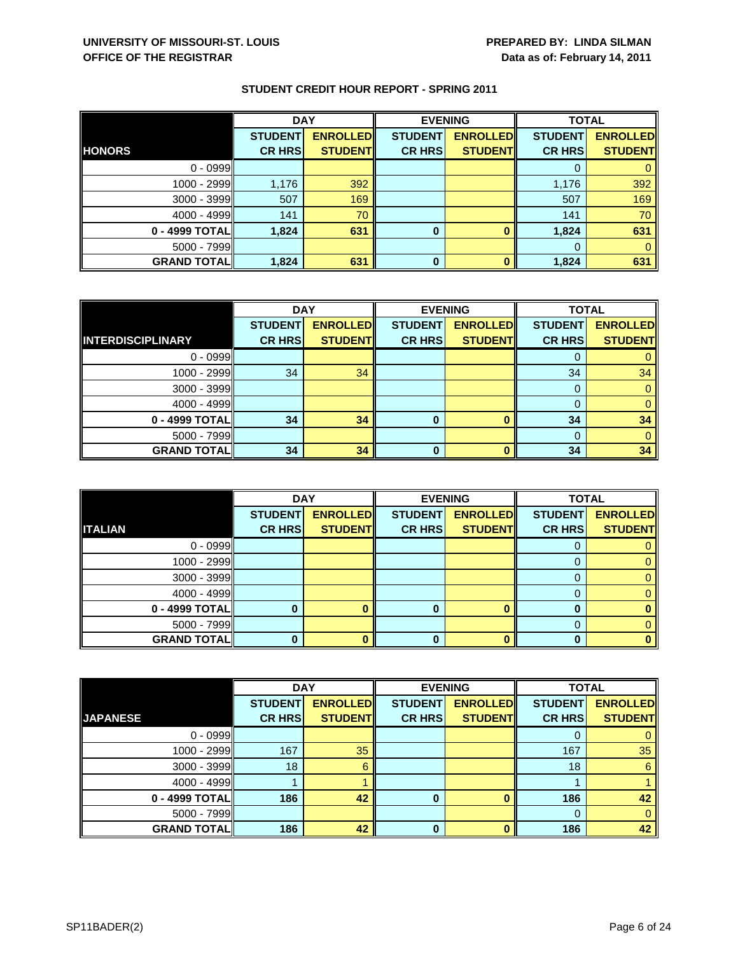|                    | <b>DAY</b>                      |                                   | <b>EVENING</b>                  |                                   | <b>TOTAL</b>                    |                                   |
|--------------------|---------------------------------|-----------------------------------|---------------------------------|-----------------------------------|---------------------------------|-----------------------------------|
| <b>HONORS</b>      | <b>STUDENT</b><br><b>CR HRS</b> | <b>ENROLLED</b><br><b>STUDENT</b> | <b>STUDENT</b><br><b>CR HRS</b> | <b>ENROLLED</b><br><b>STUDENT</b> | <b>STUDENT</b><br><b>CR HRS</b> | <b>ENROLLED</b><br><b>STUDENT</b> |
|                    |                                 |                                   |                                 |                                   |                                 |                                   |
| $0 - 0999$         |                                 |                                   |                                 |                                   |                                 |                                   |
| $1000 - 2999$      | 1,176                           | 392                               |                                 |                                   | 1,176                           | 392                               |
| 3000 - 3999        | 507                             | 169                               |                                 |                                   | 507                             | 169                               |
| $4000 - 4999$      | 141                             | 70                                |                                 |                                   | 141                             | 70                                |
| 0 - 4999 TOTAL     | 1,824                           | 631                               | $\bf{0}$                        |                                   | 1,824                           | 631                               |
| $5000 - 7999$      |                                 |                                   |                                 |                                   |                                 |                                   |
| <b>GRAND TOTAL</b> | 1,824                           | 631                               | $\bf{0}$                        | n                                 | 1,824                           | 631                               |

|                    | <b>DAY</b>     |                 | <b>EVENING</b> |                 | <b>TOTAL</b>   |                 |
|--------------------|----------------|-----------------|----------------|-----------------|----------------|-----------------|
|                    | <b>STUDENT</b> | <b>ENROLLED</b> | <b>STUDENT</b> | <b>ENROLLED</b> | <b>STUDENT</b> | <b>ENROLLED</b> |
| INTERDISCIPLINARY  | <b>CR HRS</b>  | <b>STUDENT</b>  | <b>CR HRS</b>  | <b>STUDENT</b>  | <b>CR HRS</b>  | <b>STUDENT</b>  |
| $0 - 0999$         |                |                 |                |                 |                | 0               |
| 1000 - 2999        | 34             | 34              |                |                 | 34             | 34              |
| $3000 - 3999$      |                |                 |                |                 | 0              | $\mathbf{0}$    |
| 4000 - 4999        |                |                 |                |                 | 0              | $\mathbf{0}$    |
| 0 - 4999 TOTAL     | 34             | 34              | 0              |                 | 34             | 34              |
| $5000 - 7999$      |                |                 |                |                 | 0              | $\mathbf{0}$    |
| <b>GRAND TOTAL</b> | 34             | 34              | ŋ              |                 | 34             | 34              |

|                    | <b>DAY</b>     |                 |                | <b>EVENING</b>  | <b>TOTAL</b>   |                 |
|--------------------|----------------|-----------------|----------------|-----------------|----------------|-----------------|
|                    | <b>STUDENT</b> | <b>ENROLLED</b> | <b>STUDENT</b> | <b>ENROLLED</b> | <b>STUDENT</b> | <b>ENROLLED</b> |
| <b>ITALIAN</b>     | <b>CR HRS</b>  | <b>STUDENT</b>  | <b>CR HRS</b>  | <b>STUDENT</b>  | <b>CR HRS</b>  | <b>STUDENT</b>  |
| $0 - 0999$         |                |                 |                |                 |                |                 |
| 1000 - 2999        |                |                 |                |                 |                |                 |
| $3000 - 3999$      |                |                 |                |                 |                |                 |
| $4000 - 4999$      |                |                 |                |                 |                |                 |
| 0 - 4999 TOTAL     |                |                 |                |                 |                |                 |
| $5000 - 7999$      |                |                 |                |                 |                |                 |
| <b>GRAND TOTAL</b> |                |                 | 0              |                 | $\bf{0}$       |                 |

|                    | <b>DAY</b>     |                 |                | <b>EVENING</b>  | <b>TOTAL</b>   |                 |
|--------------------|----------------|-----------------|----------------|-----------------|----------------|-----------------|
|                    | <b>STUDENT</b> | <b>ENROLLED</b> | <b>STUDENT</b> | <b>ENROLLED</b> | <b>STUDENT</b> | <b>ENROLLED</b> |
| <b>JAPANESE</b>    | <b>CR HRS</b>  | <b>STUDENT</b>  | <b>CR HRS</b>  | <b>STUDENT</b>  | <b>CR HRS</b>  | <b>STUDENT</b>  |
| $0 - 0999$         |                |                 |                |                 |                | 0               |
| 1000 - 2999        | 167            | 35              |                |                 | 167            | 35              |
| $3000 - 3999$      | 18             | 6               |                |                 | 18             | 6               |
| $4000 - 4999$      |                |                 |                |                 |                |                 |
| $0 - 4999$ TOTAL   | 186            | 42              | 0              |                 | 186            | 42              |
| $5000 - 7999$      |                |                 |                |                 | $\Omega$       | $\mathbf{0}$    |
| <b>GRAND TOTAL</b> | 186            | 42              | $\Omega$       |                 | 186            | 42              |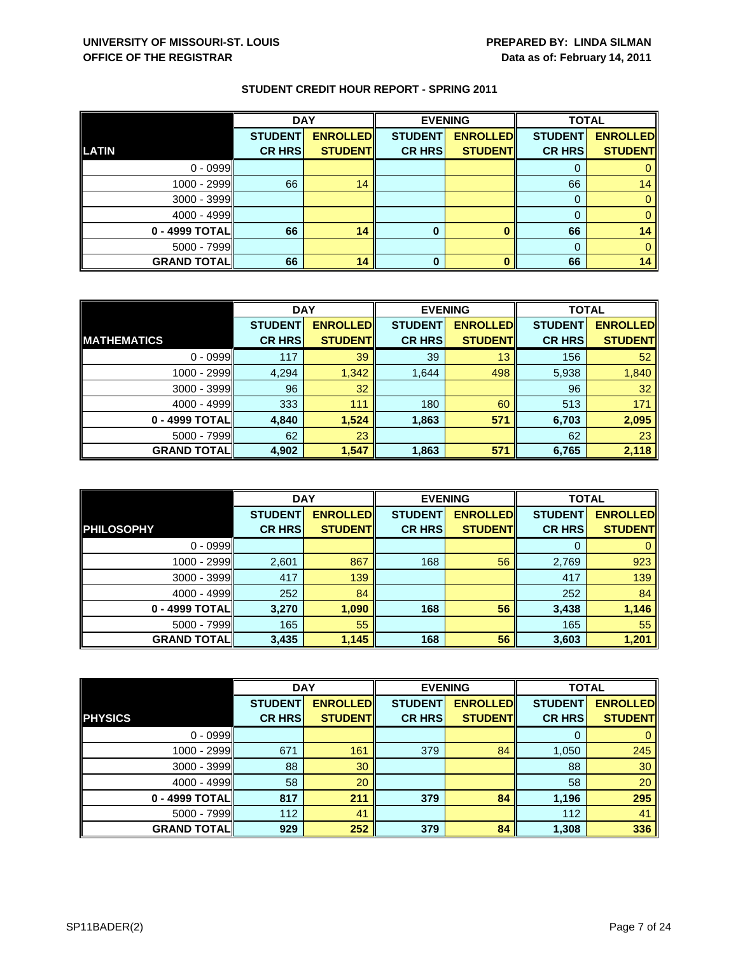|                    | <b>DAY</b>     |                 | <b>EVENING</b> |                 | <b>TOTAL</b>   |                 |
|--------------------|----------------|-----------------|----------------|-----------------|----------------|-----------------|
|                    | <b>STUDENT</b> | <b>ENROLLED</b> | <b>STUDENT</b> | <b>ENROLLED</b> | <b>STUDENT</b> | <b>ENROLLED</b> |
| <b>LATIN</b>       | <b>CR HRS</b>  | <b>STUDENT</b>  | <b>CR HRS</b>  | <b>STUDENT</b>  | <b>CR HRS</b>  | <b>STUDENT</b>  |
| $0 - 0999$         |                |                 |                |                 |                |                 |
| 1000 - 2999        | 66             | 14              |                |                 | 66             | 14              |
| 3000 - 3999        |                |                 |                |                 |                |                 |
| $4000 - 4999$      |                |                 |                |                 |                |                 |
| 0 - 4999 TOTAL     | 66             | 14              | 0              |                 | 66             | 14              |
| $5000 - 7999$      |                |                 |                |                 |                |                 |
| <b>GRAND TOTAL</b> | 66             | 14              | 0              |                 | 66             | 14              |

|                    | <b>DAY</b>     |                 |                | <b>EVENING</b>  |                | <b>TOTAL</b>    |  |
|--------------------|----------------|-----------------|----------------|-----------------|----------------|-----------------|--|
|                    | <b>STUDENT</b> | <b>ENROLLED</b> | <b>STUDENT</b> | <b>ENROLLED</b> | <b>STUDENT</b> | <b>ENROLLED</b> |  |
| <b>MATHEMATICS</b> | <b>CR HRS</b>  | <b>STUDENT</b>  | <b>CR HRS</b>  | <b>STUDENT</b>  | <b>CR HRS</b>  | <b>STUDENT</b>  |  |
| $0 - 0999$         | 117            | 39              | 39             | 13              | 156            | 52              |  |
| 1000 - 2999        | 4,294          | 1,342           | 1,644          | 498             | 5,938          | 1,840           |  |
| $3000 - 3999$      | 96             | 32              |                |                 | 96             | 32              |  |
| $4000 - 4999$      | 333            | 111             | 180            | 60              | 513            | 171             |  |
| 0 - 4999 TOTAL     | 4,840          | 1,524           | 1,863          | 571             | 6,703          | 2,095           |  |
| $5000 - 7999$      | 62             | 23              |                |                 | 62             | 23              |  |
| <b>GRAND TOTAL</b> | 4,902          | 1,547           | 1,863          | 571             | 6,765          | 2,118           |  |

|                    | <b>DAY</b>                      |                                    |                                 | <b>EVENING</b>                    | <b>TOTAL</b>                    |                                   |
|--------------------|---------------------------------|------------------------------------|---------------------------------|-----------------------------------|---------------------------------|-----------------------------------|
| <b>PHILOSOPHY</b>  | <b>STUDENT</b><br><b>CR HRS</b> | <b>ENROLLED</b><br><b>STUDENTI</b> | <b>STUDENT</b><br><b>CR HRS</b> | <b>ENROLLED</b><br><b>STUDENT</b> | <b>STUDENT</b><br><b>CR HRS</b> | <b>ENROLLED</b><br><b>STUDENT</b> |
|                    |                                 |                                    |                                 |                                   |                                 |                                   |
| $0 - 0999$         |                                 |                                    |                                 |                                   | O                               |                                   |
| $1000 - 2999$      | 2,601                           | 867                                | 168                             | 56                                | 2,769                           | 923                               |
| 3000 - 3999        | 417                             | 139                                |                                 |                                   | 417                             | 139                               |
| $4000 - 4999$      | 252                             | 84                                 |                                 |                                   | 252                             | 84                                |
| 0 - 4999 TOTALI    | 3,270                           | 1,090                              | 168                             | 56                                | 3,438                           | 1,146                             |
| $5000 - 7999$      | 165                             | 55                                 |                                 |                                   | 165                             | 55                                |
| <b>GRAND TOTAL</b> | 3,435                           | 1,145                              | 168                             | 56                                | 3,603                           | 1,201                             |

|                    | <b>DAY</b>     |                 |                | <b>EVENING</b>  | <b>TOTAL</b>   |                 |
|--------------------|----------------|-----------------|----------------|-----------------|----------------|-----------------|
|                    | <b>STUDENT</b> | <b>ENROLLED</b> | <b>STUDENT</b> | <b>ENROLLED</b> | <b>STUDENT</b> | <b>ENROLLED</b> |
| <b>PHYSICS</b>     | <b>CR HRS</b>  | <b>STUDENT</b>  | <b>CR HRS</b>  | <b>STUDENT</b>  | <b>CR HRS</b>  | <b>STUDENT</b>  |
| $0 - 0999$         |                |                 |                |                 | 0              | 0               |
| 1000 - 2999        | 671            | 161             | 379            | 84              | 1,050          | 245             |
| $3000 - 3999$      | 88             | 30              |                |                 | 88             | 30              |
| $4000 - 4999$      | 58             | 20              |                |                 | 58             | 20              |
| 0 - 4999 TOTAL     | 817            | 211             | 379            | 84              | 1,196          | 295             |
| $5000 - 7999$      | 112            | 41              |                |                 | 112            | 41              |
| <b>GRAND TOTAL</b> | 929            | 252             | 379            | 84              | 1,308          | 336             |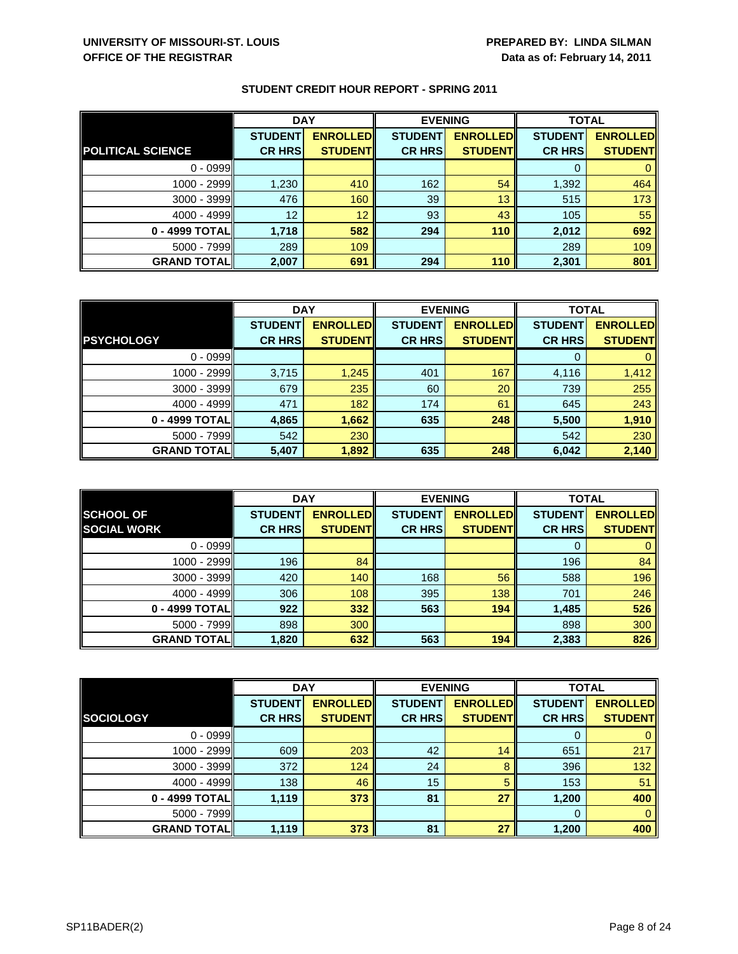|                          | <b>DAY</b>     |                 | <b>EVENING</b> |                 | <b>TOTAL</b>   |                 |
|--------------------------|----------------|-----------------|----------------|-----------------|----------------|-----------------|
|                          | <b>STUDENT</b> | <b>ENROLLED</b> | <b>STUDENT</b> | <b>ENROLLED</b> | <b>STUDENT</b> | <b>ENROLLED</b> |
| <b>POLITICAL SCIENCE</b> | <b>CR HRS</b>  | <b>STUDENT</b>  | <b>CR HRS</b>  | <b>STUDENT</b>  | <b>CR HRS</b>  | <b>STUDENT</b>  |
| $0 - 0999$               |                |                 |                |                 |                |                 |
| 1000 - 2999              | 1,230          | 410             | 162            | 54              | 1,392          | 464             |
| 3000 - 3999              | 476            | 160             | 39             | 13              | 515            | 173             |
| $4000 - 4999$            | 12             | 12              | 93             | 43              | 105            | 55              |
| 0 - 4999 TOTAL           | 1,718          | 582             | 294            | 110             | 2,012          | 692             |
| $5000 - 7999$            | 289            | 109             |                |                 | 289            | 109             |
| <b>GRAND TOTAL</b>       | 2,007          | 691             | 294            | 110             | 2,301          | 801             |

|                    | <b>DAY</b>     |                 | <b>EVENING</b> |                 | <b>TOTAL</b>   |                 |
|--------------------|----------------|-----------------|----------------|-----------------|----------------|-----------------|
|                    | <b>STUDENT</b> | <b>ENROLLED</b> | <b>STUDENT</b> | <b>ENROLLED</b> | <b>STUDENT</b> | <b>ENROLLED</b> |
| <b>PSYCHOLOGY</b>  | <b>CR HRS</b>  | <b>STUDENT</b>  | <b>CR HRS</b>  | <b>STUDENT</b>  | <b>CR HRS</b>  | <b>STUDENT</b>  |
| $0 - 0999$         |                |                 |                |                 |                |                 |
| 1000 - 2999        | 3,715          | 1,245           | 401            | 167             | 4,116          | 1,412           |
| $3000 - 3999$      | 679            | 235             | 60             | 20              | 739            | 255             |
| $4000 - 4999$      | 471            | 182             | 174            | 61              | 645            | 243             |
| 0 - 4999 TOTAL     | 4,865          | 1,662           | 635            | 248             | 5,500          | 1,910           |
| $5000 - 7999$      | 542            | 230             |                |                 | 542            | 230             |
| <b>GRAND TOTAL</b> | 5,407          | 1,892           | 635            | 248             | 6,042          | 2,140           |

|                                        | <b>DAY</b>     |                 |                | <b>EVENING</b>                    | <b>TOTAL</b>   |                 |
|----------------------------------------|----------------|-----------------|----------------|-----------------------------------|----------------|-----------------|
| <b>SCHOOL OF</b><br><b>SOCIAL WORK</b> | <b>STUDENT</b> | <b>ENROLLED</b> | <b>STUDENT</b> | <b>ENROLLED</b><br><b>STUDENT</b> | <b>STUDENT</b> | <b>ENROLLED</b> |
|                                        | <b>CR HRS</b>  | <b>STUDENT</b>  | <b>CR HRS</b>  |                                   | <b>CR HRS</b>  | <b>STUDENT</b>  |
| $0 - 0999$                             |                |                 |                |                                   | 0              | $\mathbf{0}$    |
| $1000 - 2999$                          | 196            | 84              |                |                                   | 196            | 84              |
| $3000 - 3999$                          | 420            | 140             | 168            | 56                                | 588            | 196             |
| $4000 - 4999$                          | 306            | 108             | 395            | 138                               | 701            | 246             |
| 0 - 4999 TOTALI                        | 922            | 332             | 563            | 194                               | 1,485          | 526             |
| $5000 - 7999$                          | 898            | 300             |                |                                   | 898            | 300             |
| <b>GRAND TOTALI</b>                    | 1,820          | 632             | 563            | 194                               | 2,383          | 826             |

|                    | <b>DAY</b>     |                 |                | <b>EVENING</b>  |                | <b>TOTAL</b>    |  |
|--------------------|----------------|-----------------|----------------|-----------------|----------------|-----------------|--|
|                    | <b>STUDENT</b> | <b>ENROLLED</b> | <b>STUDENT</b> | <b>ENROLLED</b> | <b>STUDENT</b> | <b>ENROLLED</b> |  |
| <b>SOCIOLOGY</b>   | <b>CR HRS</b>  | <b>STUDENT</b>  | <b>CR HRS</b>  | <b>STUDENT</b>  | <b>CR HRS</b>  | <b>STUDENT</b>  |  |
| $0 - 0999$         |                |                 |                |                 | 0              | 0               |  |
| 1000 - 2999        | 609            | 203             | 42             | 14              | 651            | 217             |  |
| $3000 - 3999$      | 372            | 124             | 24             | 8               | 396            | 132             |  |
| $4000 - 4999$      | 138            | 46              | 15             | 5               | 153            | 51              |  |
| 0 - 4999 TOTAL     | 1,119          | 373             | 81             | 27              | 1,200          | 400             |  |
| $5000 - 7999$      |                |                 |                |                 | 0              | $\Omega$        |  |
| <b>GRAND TOTAL</b> | 1,119          | 373             | 81             | 27              | 1,200          | 400             |  |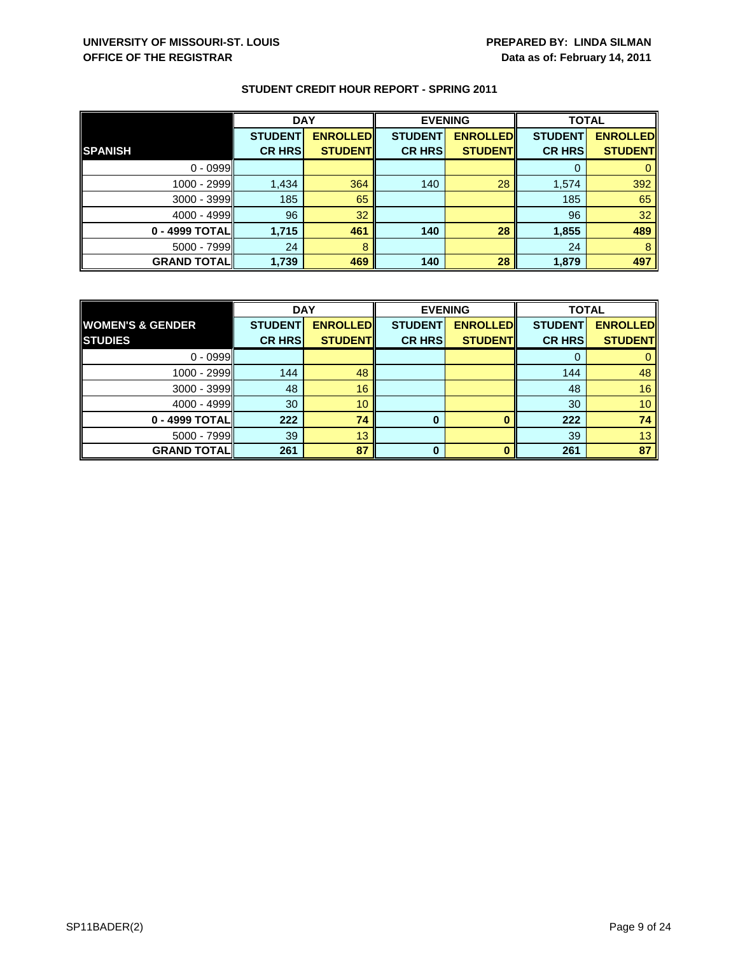|                    | <b>DAY</b>     |                 |                | <b>EVENING</b>  | <b>TOTAL</b>   |                 |
|--------------------|----------------|-----------------|----------------|-----------------|----------------|-----------------|
|                    | <b>STUDENT</b> | <b>ENROLLED</b> | <b>STUDENT</b> | <b>ENROLLED</b> | <b>STUDENT</b> | <b>ENROLLED</b> |
| <b>SPANISH</b>     | <b>CR HRS</b>  | <b>STUDENT</b>  | <b>CR HRS</b>  | <b>STUDENT</b>  | <b>CR HRS</b>  | <b>STUDENT</b>  |
| $0 - 0999$         |                |                 |                |                 |                |                 |
| 1000 - 2999        | 1,434          | 364             | 140            | 28              | 1,574          | 392             |
| $3000 - 3999$      | 185            | 65              |                |                 | 185            | 65              |
| $4000 - 4999$      | 96             | 32              |                |                 | 96             | 32              |
| 0 - 4999 TOTAL     | 1,715          | 461             | 140            | 28              | 1,855          | 489             |
| $5000 - 7999$      | 24             | 8               |                |                 | 24             | 8               |
| <b>GRAND TOTAL</b> | 1,739          | 469             | 140            | 28              | 1,879          | 497             |

|                             | <b>DAY</b>     |                 | <b>EVENING</b> |                 | <b>TOTAL</b>   |                 |
|-----------------------------|----------------|-----------------|----------------|-----------------|----------------|-----------------|
| <b>WOMEN'S &amp; GENDER</b> | <b>STUDENT</b> | <b>ENROLLED</b> | <b>STUDENT</b> | <b>ENROLLED</b> | <b>STUDENT</b> | <b>ENROLLED</b> |
| <b>STUDIES</b>              | <b>CR HRS</b>  | <b>STUDENT</b>  | <b>CR HRS</b>  | <b>STUDENT</b>  | <b>CR HRS</b>  | <b>STUDENT</b>  |
| $0 - 0999$                  |                |                 |                |                 |                |                 |
| 1000 - 2999                 | 144            | 48              |                |                 | 144            | 48              |
| $3000 - 3999$               | 48             | 16              |                |                 | 48             | 16              |
| $4000 - 4999$               | 30             | 10              |                |                 | 30             | 10 <sup>°</sup> |
| 0 - 4999 TOTAL              | 222            | 74              | 0              |                 | 222            | 74              |
| $5000 - 7999$               | 39             | 13              |                |                 | 39             | 13 <sup>°</sup> |
| <b>GRAND TOTAL</b>          | 261            | 87              | 0              |                 | 261            | 87              |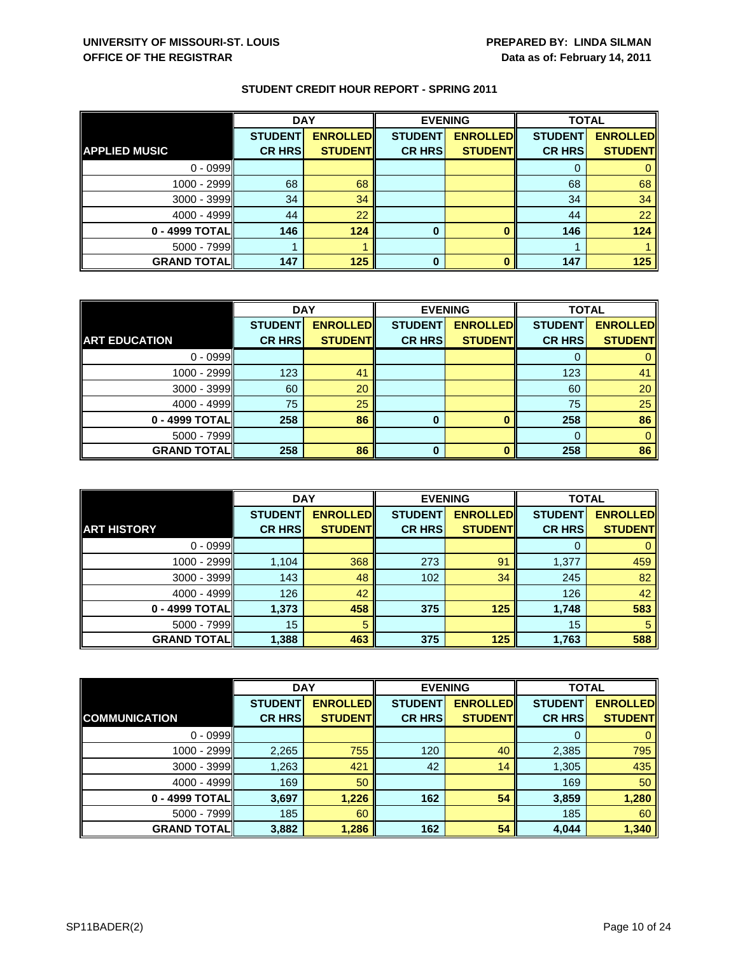|                      | <b>DAY</b>     |                 |                | <b>EVENING</b>  | <b>TOTAL</b>   |                 |
|----------------------|----------------|-----------------|----------------|-----------------|----------------|-----------------|
|                      | <b>STUDENT</b> | <b>ENROLLED</b> | <b>STUDENT</b> | <b>ENROLLED</b> | <b>STUDENT</b> | <b>ENROLLED</b> |
| <b>APPLIED MUSIC</b> | <b>CR HRS</b>  | <b>STUDENT</b>  | <b>CR HRS</b>  | <b>STUDENT</b>  | <b>CR HRS</b>  | <b>STUDENT</b>  |
| $0 - 0999$           |                |                 |                |                 |                |                 |
| $1000 - 2999$        | 68             | 68              |                |                 | 68             | 68              |
| 3000 - 3999          | 34             | 34              |                |                 | 34             | 34              |
| $4000 - 4999$        | 44             | 22              |                |                 | 44             | 22              |
| 0 - 4999 TOTAL       | 146            | 124             | $\bf{0}$       |                 | 146            | 124             |
| $5000 - 7999$        |                |                 |                |                 |                |                 |
| <b>GRAND TOTAL</b>   | 147            | 125             | 0              |                 | 147            | 125             |

|                      | <b>DAY</b>     |                 | <b>EVENING</b> |                 | <b>TOTAL</b>   |                 |
|----------------------|----------------|-----------------|----------------|-----------------|----------------|-----------------|
|                      | <b>STUDENT</b> | <b>ENROLLED</b> | <b>STUDENT</b> | <b>ENROLLED</b> | <b>STUDENT</b> | <b>ENROLLED</b> |
| <b>ART EDUCATION</b> | <b>CR HRS</b>  | <b>STUDENT</b>  | <b>CR HRS</b>  | <b>STUDENT</b>  | <b>CR HRS</b>  | <b>STUDENT</b>  |
| $0 - 0999$           |                |                 |                |                 |                |                 |
| 1000 - 2999          | 123            | 41              |                |                 | 123            | 41              |
| $3000 - 3999$        | 60             | 20              |                |                 | 60             | 20              |
| 4000 - 4999          | 75             | 25              |                |                 | 75             | 25              |
| 0 - 4999 TOTAL       | 258            | 86              | 0              |                 | 258            | 86              |
| $5000 - 7999$        |                |                 |                |                 |                |                 |
| <b>GRAND TOTAL</b>   | 258            | 86              | ŋ              |                 | 258            | 86              |

|                    | <b>DAY</b>     |                 |                | <b>EVENING</b>  | <b>TOTAL</b>   |                 |
|--------------------|----------------|-----------------|----------------|-----------------|----------------|-----------------|
|                    | <b>STUDENT</b> | <b>ENROLLED</b> | <b>STUDENT</b> | <b>ENROLLED</b> | <b>STUDENT</b> | <b>ENROLLED</b> |
| <b>ART HISTORY</b> | <b>CR HRS</b>  | <b>STUDENTI</b> | <b>CR HRS</b>  | <b>STUDENTI</b> | <b>CR HRS</b>  | <b>STUDENT</b>  |
| $0 - 0999$         |                |                 |                |                 | $\Omega$       |                 |
| 1000 - 2999        | 1,104          | 368             | 273            | 91              | 1,377          | 459             |
| $3000 - 3999$      | 143            | 48              | 102            | 34              | 245            | 82              |
| $4000 - 4999$      | 126            | 42              |                |                 | 126            | 42              |
| 0 - 4999 TOTAL     | 1,373          | 458             | 375            | 125             | 1,748          | 583             |
| $5000 - 7999$      | 15             | 5               |                |                 | 15             | 5               |
| <b>GRAND TOTAL</b> | 1,388          | 463             | 375            | 125             | 1,763          | 588             |

|                      | <b>DAY</b>     |                 |                | <b>EVENING</b>  | <b>TOTAL</b>   |                 |
|----------------------|----------------|-----------------|----------------|-----------------|----------------|-----------------|
|                      | <b>STUDENT</b> | <b>ENROLLED</b> | <b>STUDENT</b> | <b>ENROLLED</b> | <b>STUDENT</b> | <b>ENROLLED</b> |
| <b>COMMUNICATION</b> | <b>CR HRS</b>  | <b>STUDENT</b>  | <b>CR HRS</b>  | <b>STUDENT</b>  | <b>CR HRS</b>  | <b>STUDENT</b>  |
| $0 - 0999$           |                |                 |                |                 | 0              | $\mathbf{0}$    |
| 1000 - 2999          | 2,265          | 755             | 120            | 40              | 2,385          | 795             |
| $3000 - 3999$        | 1,263          | 421             | 42             | 14              | 1,305          | 435             |
| $4000 - 4999$        | 169            | 50              |                |                 | 169            | 50              |
| 0 - 4999 TOTAL       | 3,697          | 1,226           | 162            | 54              | 3,859          | 1,280           |
| $5000 - 7999$        | 185            | 60              |                |                 | 185            | 60              |
| <b>GRAND TOTAL</b>   | 3,882          | 1,286           | 162            | 54              | 4,044          | 1,340           |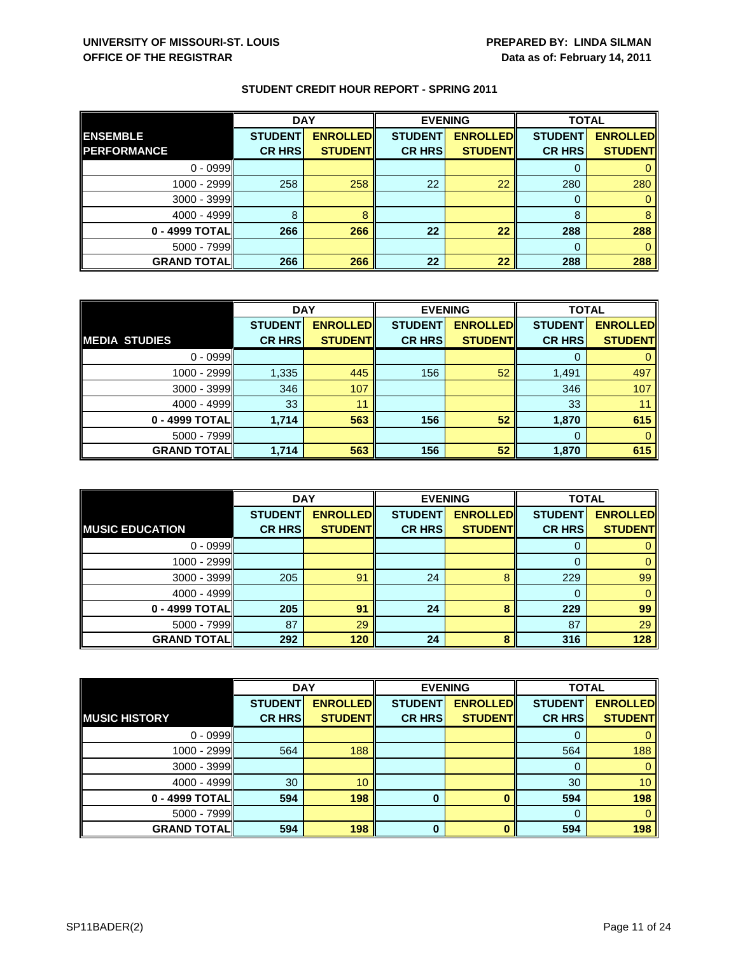|                     | <b>DAY</b>     |                 | <b>EVENING</b> |                 | <b>TOTAL</b>   |                 |
|---------------------|----------------|-----------------|----------------|-----------------|----------------|-----------------|
| <b>ENSEMBLE</b>     | <b>STUDENT</b> | <b>ENROLLED</b> | <b>STUDENT</b> | <b>ENROLLED</b> | <b>STUDENT</b> | <b>ENROLLED</b> |
| <b>PERFORMANCE</b>  | <b>CR HRS</b>  | <b>STUDENT</b>  | <b>CR HRS</b>  | <b>STUDENT</b>  | <b>CR HRS</b>  | <b>STUDENT</b>  |
| $0 - 0999$          |                |                 |                |                 |                |                 |
| 1000 - 2999         | 258            | 258             | 22             | 22              | 280            | 280             |
| $3000 - 3999$       |                |                 |                |                 |                |                 |
| $4000 - 4999$       | 8              |                 |                |                 | 8              |                 |
| 0 - 4999 TOTAL      | 266            | 266             | 22             | 22              | 288            | 288             |
| $5000 - 7999$       |                |                 |                |                 |                |                 |
| <b>GRAND TOTALI</b> | 266            | 266             | 22             | 22              | 288            | 288             |

|                      | <b>DAY</b>     |                 | <b>EVENING</b> |                 | <b>TOTAL</b>   |                 |
|----------------------|----------------|-----------------|----------------|-----------------|----------------|-----------------|
|                      | <b>STUDENT</b> | <b>ENROLLED</b> | <b>STUDENT</b> | <b>ENROLLED</b> | <b>STUDENT</b> | <b>ENROLLED</b> |
| <b>MEDIA STUDIES</b> | <b>CR HRS</b>  | <b>STUDENT</b>  | <b>CR HRS</b>  | <b>STUDENT</b>  | <b>CR HRS</b>  | <b>STUDENT</b>  |
| $0 - 0999$           |                |                 |                |                 |                |                 |
| 1000 - 2999          | 1,335          | 445             | 156            | 52              | 1,491          | 497             |
| $3000 - 3999$        | 346            | 107             |                |                 | 346            | 107             |
| $4000 - 4999$        | 33             | 11              |                |                 | 33             |                 |
| 0 - 4999 TOTAL       | 1,714          | 563             | 156            | 52              | 1,870          | 615             |
| $5000 - 7999$        |                |                 |                |                 |                |                 |
| <b>GRAND TOTALI</b>  | 1.714          | 563             | 156            | 52              | 1,870          | 615             |

|                        | <b>DAY</b>     |                 |                | <b>EVENING</b>  | <b>TOTAL</b>   |                 |
|------------------------|----------------|-----------------|----------------|-----------------|----------------|-----------------|
|                        | <b>STUDENT</b> | <b>ENROLLED</b> | <b>STUDENT</b> | <b>ENROLLED</b> | <b>STUDENT</b> | <b>ENROLLED</b> |
| <b>MUSIC EDUCATION</b> | <b>CR HRS</b>  | <b>STUDENT</b>  | <b>CR HRS</b>  | <b>STUDENT</b>  | <b>CR HRS</b>  | <b>STUDENT</b>  |
| $0 - 0999$             |                |                 |                |                 | O              | 0               |
| 1000 - 2999            |                |                 |                |                 |                | $\mathbf{0}$    |
| $3000 - 3999$          | 205            | 91              | 24             | 8               | 229            | 99              |
| $4000 - 4999$          |                |                 |                |                 | 0              | $\mathbf{0}$    |
| 0 - 4999 TOTAL         | 205            | 91              | 24             | 8               | 229            | 99              |
| $5000 - 7999$          | 87             | 29              |                |                 | 87             | 29              |
| <b>GRAND TOTALI</b>    | 292            | 120             | 24             | 8               | 316            | 128             |

|                      | <b>DAY</b>     |                 |                | <b>EVENING</b>  | <b>TOTAL</b>   |                 |
|----------------------|----------------|-----------------|----------------|-----------------|----------------|-----------------|
|                      | <b>STUDENT</b> | <b>ENROLLED</b> | <b>STUDENT</b> | <b>ENROLLED</b> | <b>STUDENT</b> | <b>ENROLLED</b> |
| <b>MUSIC HISTORY</b> | <b>CR HRS</b>  | <b>STUDENT</b>  | <b>CR HRS</b>  | <b>STUDENT</b>  | <b>CR HRS</b>  | <b>STUDENT</b>  |
| $0 - 0999$           |                |                 |                |                 |                | 0               |
| 1000 - 2999          | 564            | 188             |                |                 | 564            | 188             |
| $3000 - 3999$        |                |                 |                |                 | 0              | $\mathbf{0}$    |
| $4000 - 4999$        | 30             | 10              |                |                 | 30             | 10 <sup>°</sup> |
| 0 - 4999 TOTAL       | 594            | 198             | $\bf{0}$       |                 | 594            | 198             |
| $5000 - 7999$        |                |                 |                |                 | $\Omega$       | $\Omega$        |
| <b>GRAND TOTAL</b>   | 594            | 198             | $\bf{0}$       | ŋ               | 594            | 198             |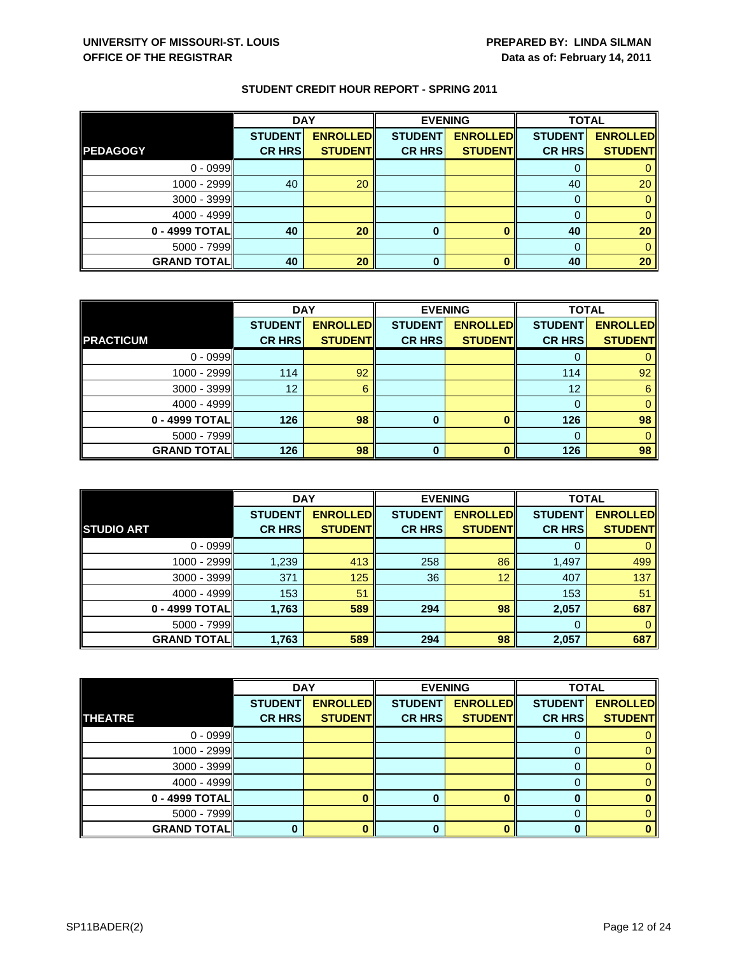|                    | <b>DAY</b>     |                 |                | <b>EVENING</b>  |                | <b>TOTAL</b>    |  |
|--------------------|----------------|-----------------|----------------|-----------------|----------------|-----------------|--|
|                    | <b>STUDENT</b> | <b>ENROLLED</b> | <b>STUDENT</b> | <b>ENROLLED</b> | <b>STUDENT</b> | <b>ENROLLED</b> |  |
| <b>PEDAGOGY</b>    | <b>CR HRS</b>  | <b>STUDENT</b>  | <b>CR HRS</b>  | <b>STUDENT</b>  | <b>CR HRS</b>  | <b>STUDENT</b>  |  |
| $0 - 0999$         |                |                 |                |                 |                |                 |  |
| 1000 - 2999        | 40             | 20              |                |                 | 40             | 20              |  |
| 3000 - 3999        |                |                 |                |                 |                |                 |  |
| $4000 - 4999$      |                |                 |                |                 |                |                 |  |
| 0 - 4999 TOTAL     | 40             | 20              | 0              |                 | 40             | 20              |  |
| $5000 - 7999$      |                |                 |                |                 |                |                 |  |
| <b>GRAND TOTAL</b> | 40             | 20              | $\bf{0}$       |                 | 40             | 20              |  |

|                    | <b>DAY</b>      |                 | <b>EVENING</b> |                 | <b>TOTAL</b>   |                 |
|--------------------|-----------------|-----------------|----------------|-----------------|----------------|-----------------|
|                    | <b>STUDENT</b>  | <b>ENROLLED</b> | <b>STUDENT</b> | <b>ENROLLED</b> | <b>STUDENT</b> | <b>ENROLLED</b> |
| <b>PRACTICUM</b>   | <b>CR HRS</b>   | <b>STUDENT</b>  | <b>CR HRS</b>  | <b>STUDENT</b>  | <b>CR HRS</b>  | <b>STUDENT</b>  |
| $0 - 0999$         |                 |                 |                |                 |                |                 |
| 1000 - 2999        | 114             | 92              |                |                 | 114            | 92              |
| $3000 - 3999$      | 12 <sup>°</sup> | 6               |                |                 | 12             | 6               |
| 4000 - 4999        |                 |                 |                |                 | 0              | 0               |
| 0 - 4999 TOTAL     | 126             | 98              | 0              |                 | 126            | 98              |
| $5000 - 7999$      |                 |                 |                |                 |                |                 |
| <b>GRAND TOTAL</b> | 126             | 98              | ŋ              |                 | 126            | 98              |

|                    | <b>DAY</b>                      |                                   | <b>EVENING</b>                  |                                    | <b>TOTAL</b>                    |                                   |
|--------------------|---------------------------------|-----------------------------------|---------------------------------|------------------------------------|---------------------------------|-----------------------------------|
| <b>STUDIO ART</b>  | <b>STUDENT</b><br><b>CR HRS</b> | <b>ENROLLED</b><br><b>STUDENT</b> | <b>STUDENT</b><br><b>CR HRS</b> | <b>ENROLLED</b><br><b>STUDENTI</b> | <b>STUDENT</b><br><b>CR HRS</b> | <b>ENROLLED</b><br><b>STUDENT</b> |
| $0 - 0999$         |                                 |                                   |                                 |                                    | 0                               |                                   |
| $1000 - 2999$      | 1,239                           | 413                               | 258                             | 86                                 | 1,497                           | 499                               |
| $3000 - 3999$      | 371                             | 125                               | 36                              | 12                                 | 407                             | 137                               |
| $4000 - 4999$      | 153                             | 51                                |                                 |                                    | 153                             | 51                                |
| 0 - 4999 TOTAL     | 1,763                           | 589                               | 294                             | 98                                 | 2,057                           | 687                               |
| $5000 - 7999$      |                                 |                                   |                                 |                                    | 0                               | 0                                 |
| <b>GRAND TOTAL</b> | 1,763                           | 589                               | 294                             | 98                                 | 2,057                           | 687                               |

|                    | <b>DAY</b>     |                 |                | <b>EVENING</b>  | <b>TOTAL</b>   |                 |
|--------------------|----------------|-----------------|----------------|-----------------|----------------|-----------------|
|                    | <b>STUDENT</b> | <b>ENROLLED</b> | <b>STUDENT</b> | <b>ENROLLED</b> | <b>STUDENT</b> | <b>ENROLLED</b> |
| <b>THEATRE</b>     | <b>CR HRS</b>  | <b>STUDENT</b>  | <b>CR HRS</b>  | <b>STUDENT</b>  | <b>CR HRS</b>  | <b>STUDENT</b>  |
| $0 - 0999$         |                |                 |                |                 |                |                 |
| $1000 - 2999$      |                |                 |                |                 |                | 0               |
| $3000 - 3999$      |                |                 |                |                 | O              | 0.              |
| $4000 - 4999$      |                |                 |                |                 |                |                 |
| $0 - 4999$ TOTAL   |                |                 |                |                 |                |                 |
| $5000 - 7999$      |                |                 |                |                 | 0              |                 |
| <b>GRAND TOTAL</b> |                |                 |                |                 | n              | o               |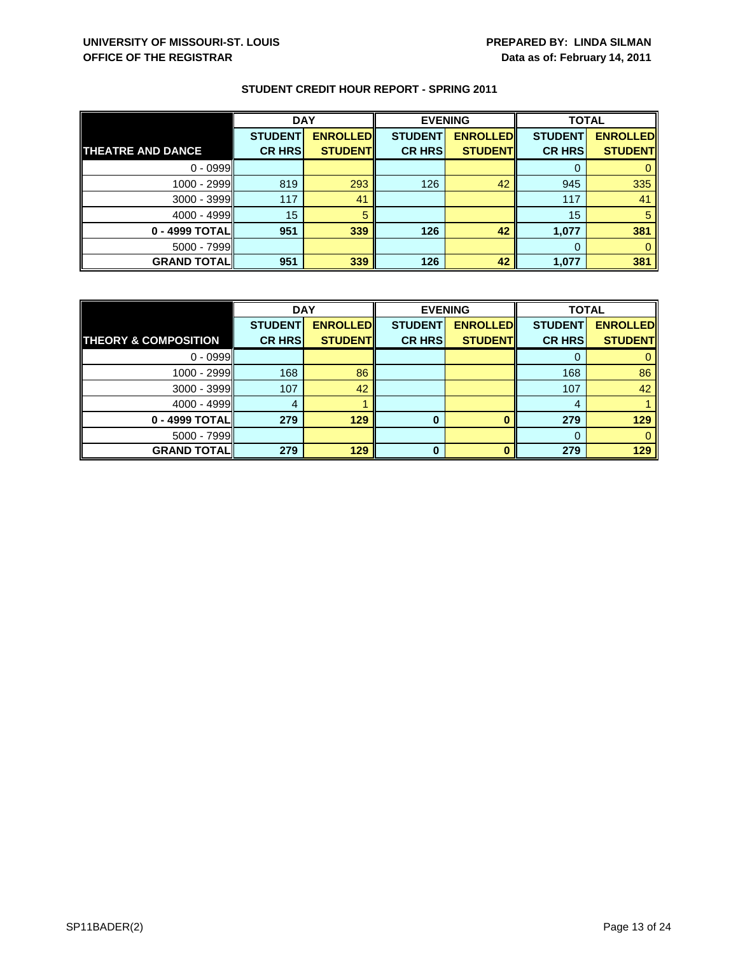|                          | <b>DAY</b>     |                 | <b>EVENING</b> |                 | <b>TOTAL</b>   |                 |
|--------------------------|----------------|-----------------|----------------|-----------------|----------------|-----------------|
|                          | <b>STUDENT</b> | <b>ENROLLED</b> | <b>STUDENT</b> | <b>ENROLLED</b> | <b>STUDENT</b> | <b>ENROLLED</b> |
| <b>THEATRE AND DANCE</b> | <b>CR HRS</b>  | <b>STUDENT</b>  | <b>CR HRS</b>  | <b>STUDENT</b>  | <b>CR HRS</b>  | <b>STUDENT</b>  |
| $0 - 0999$               |                |                 |                |                 |                |                 |
| $1000 - 2999$            | 819            | 293             | 126            | 42              | 945            | 335             |
| $3000 - 3999$            | 117            | 41              |                |                 | 117            | 41              |
| $4000 - 4999$            | 15             |                 |                |                 | 15             |                 |
| 0 - 4999 TOTAL           | 951            | 339             | 126            | 42              | 1,077          | 381             |
| $5000 - 7999$            |                |                 |                |                 |                |                 |
| <b>GRAND TOTAL</b>       | 951            | 339             | 126            | 42              | 1,077          | 381             |

|                                 | <b>DAY</b>     |                 | <b>EVENING</b> |                 | <b>TOTAL</b>   |                 |
|---------------------------------|----------------|-----------------|----------------|-----------------|----------------|-----------------|
|                                 | <b>STUDENT</b> | <b>ENROLLED</b> | <b>STUDENT</b> | <b>ENROLLED</b> | <b>STUDENT</b> | <b>ENROLLED</b> |
| <b>THEORY &amp; COMPOSITION</b> | <b>CR HRS</b>  | <b>STUDENT</b>  | <b>CR HRS</b>  | <b>STUDENT</b>  | <b>CR HRS</b>  | <b>STUDENT</b>  |
| $0 - 0999$                      |                |                 |                |                 |                |                 |
| $1000 - 2999$                   | 168            | 86              |                |                 | 168            | 86              |
| $3000 - 3999$                   | 107            | 42              |                |                 | 107            | 42              |
| $4000 - 4999$                   | 4              |                 |                |                 | 4              |                 |
| 0 - 4999 TOTAL                  | 279            | 129             | 0              |                 | 279            | 129             |
| $5000 - 7999$                   |                |                 |                |                 |                |                 |
| <b>GRAND TOTALI</b>             | 279            | 129             | ŋ              |                 | 279            | 129             |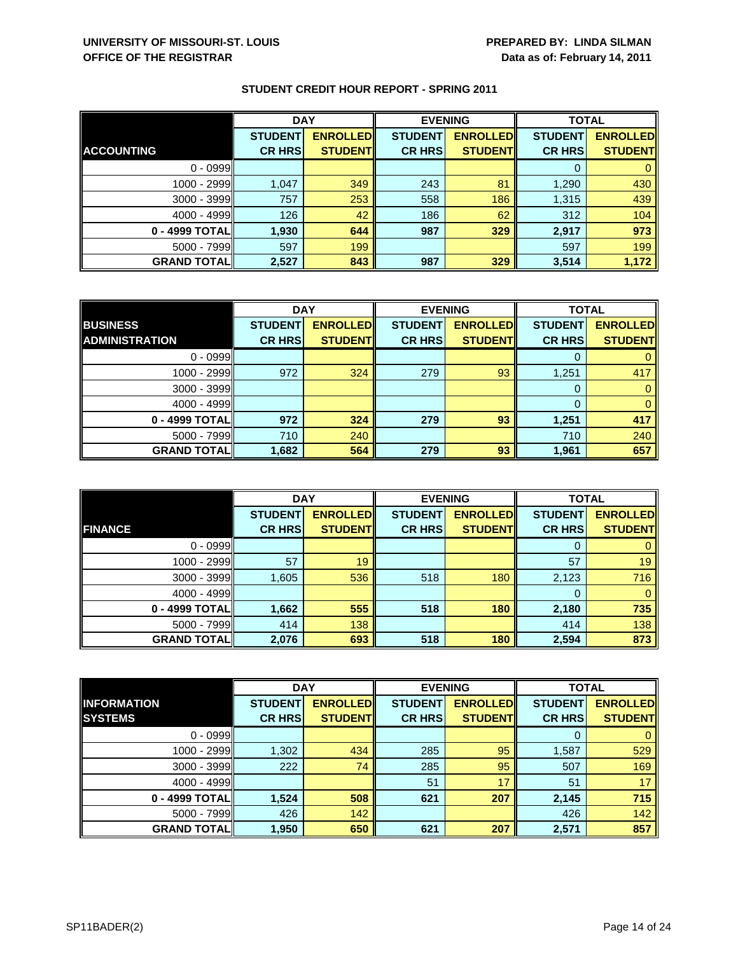|                    | <b>DAY</b>     |                 | <b>EVENING</b> |                 | <b>TOTAL</b>   |                 |
|--------------------|----------------|-----------------|----------------|-----------------|----------------|-----------------|
|                    | <b>STUDENT</b> | <b>ENROLLED</b> | <b>STUDENT</b> | <b>ENROLLED</b> | <b>STUDENT</b> | <b>ENROLLED</b> |
| <b>ACCOUNTING</b>  | <b>CR HRS</b>  | <b>STUDENT</b>  | <b>CR HRS</b>  | <b>STUDENT</b>  | <b>CR HRS</b>  | <b>STUDENT</b>  |
| $0 - 0999$         |                |                 |                |                 |                |                 |
| 1000 - 2999        | 1,047          | 349             | 243            | 81              | 1,290          | 430             |
| 3000 - 3999        | 757            | 253             | 558            | 186             | 1,315          | 439             |
| $4000 - 4999$      | 126            | 42              | 186            | 62              | 312            | 104             |
| 0 - 4999 TOTAL     | 1,930          | 644             | 987            | 329             | 2,917          | 973             |
| $5000 - 7999$      | 597            | 199             |                |                 | 597            | 199             |
| <b>GRAND TOTAL</b> | 2,527          | 843             | 987            | 329             | 3,514          | 1,172           |

|                       | <b>DAY</b>     |                 | <b>EVENING</b> |                 | <b>TOTAL</b>   |                 |
|-----------------------|----------------|-----------------|----------------|-----------------|----------------|-----------------|
| <b>BUSINESS</b>       | <b>STUDENT</b> | <b>ENROLLED</b> | <b>STUDENT</b> | <b>ENROLLED</b> | <b>STUDENT</b> | <b>ENROLLED</b> |
| <b>ADMINISTRATION</b> | <b>CR HRS</b>  | <b>STUDENT</b>  | <b>CR HRS</b>  | <b>STUDENT</b>  | <b>CR HRS</b>  | <b>STUDENT</b>  |
| $0 - 0999$            |                |                 |                |                 |                |                 |
| 1000 - 2999           | 972            | 324             | 279            | 93              | 1,251          | 417             |
| $3000 - 3999$         |                |                 |                |                 |                |                 |
| $4000 - 4999$         |                |                 |                |                 |                | $\Omega$        |
| 0 - 4999 TOTAL        | 972            | 324             | 279            | 93              | 1,251          | 417             |
| $5000 - 7999$         | 710            | 240             |                |                 | 710            | 240             |
| <b>GRAND TOTAL</b>    | 1,682          | 564             | 279            | 93              | 1,961          | 657             |

|                     | <b>DAY</b>     |                 | <b>EVENING</b> |                 | <b>TOTAL</b>   |                 |
|---------------------|----------------|-----------------|----------------|-----------------|----------------|-----------------|
|                     | <b>STUDENT</b> | <b>ENROLLED</b> | <b>STUDENT</b> | <b>ENROLLED</b> | <b>STUDENT</b> | <b>ENROLLED</b> |
| <b>FINANCE</b>      | <b>CR HRS</b>  | <b>STUDENT</b>  | <b>CR HRS</b>  | <b>STUDENT</b>  | <b>CR HRS</b>  | <b>STUDENT</b>  |
| $0 - 0999$          |                |                 |                |                 | 0              | $\mathbf{0}$    |
| 1000 - 2999         | 57             | 19              |                |                 | 57             | 19              |
| $3000 - 3999$       | 1,605          | 536             | 518            | 180             | 2,123          | 716             |
| $4000 - 4999$       |                |                 |                |                 | 0              | $\mathbf{0}$    |
| 0 - 4999 TOTAL      | 1,662          | 555             | 518            | 180             | 2,180          | 735             |
| $5000 - 7999$       | 414            | 138             |                |                 | 414            | 138             |
| <b>GRAND TOTALI</b> | 2,076          | 693             | 518            | 180             | 2,594          | 873             |

|                    | <b>DAY</b>     |                 | <b>EVENING</b> |                 | <b>TOTAL</b>   |                 |
|--------------------|----------------|-----------------|----------------|-----------------|----------------|-----------------|
| <b>INFORMATION</b> | <b>STUDENT</b> | <b>ENROLLED</b> | <b>STUDENT</b> | <b>ENROLLED</b> | <b>STUDENT</b> | <b>ENROLLED</b> |
| <b>SYSTEMS</b>     | <b>CR HRS</b>  | <b>STUDENT</b>  | <b>CR HRS</b>  | <b>STUDENT</b>  | <b>CR HRS</b>  | <b>STUDENT</b>  |
| $0 - 0999$         |                |                 |                |                 | 0              | $\mathbf{0}$    |
| 1000 - 2999        | 1,302          | 434             | 285            | 95              | 1,587          | 529             |
| $3000 - 3999$      | 222            | 74              | 285            | 95              | 507            | 169             |
| $4000 - 4999$      |                |                 | 51             | 17              | 51             | 17 <sup>1</sup> |
| 0 - 4999 TOTAL     | 1,524          | 508             | 621            | 207             | 2,145          | 715             |
| $5000 - 7999$      | 426            | 142             |                |                 | 426            | 142             |
| <b>GRAND TOTAL</b> | 1,950          | 650             | 621            | 207             | 2,571          | 857             |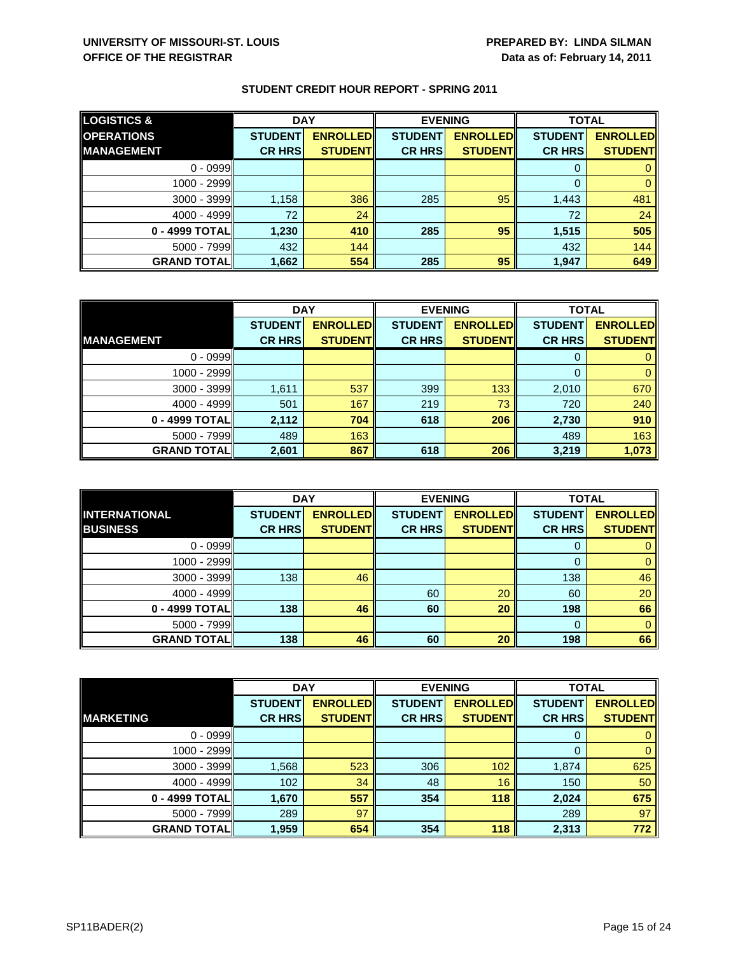| <b>LOGISTICS &amp;</b> | <b>DAY</b>     |                 |                | <b>EVENING</b>  | <b>TOTAL</b>   |                 |
|------------------------|----------------|-----------------|----------------|-----------------|----------------|-----------------|
| <b>OPERATIONS</b>      | <b>STUDENT</b> | <b>ENROLLED</b> | <b>STUDENT</b> | <b>ENROLLED</b> | <b>STUDENT</b> | <b>ENROLLED</b> |
| <b>IMANAGEMENT</b>     | <b>CR HRS</b>  | <b>STUDENTI</b> | <b>CR HRS</b>  | <b>STUDENT</b>  | <b>CR HRS</b>  | <b>STUDENT</b>  |
| $0 - 0999$             |                |                 |                |                 |                |                 |
| $1000 - 2999$          |                |                 |                |                 |                |                 |
| $3000 - 3999$          | 1,158          | 386             | 285            | 95              | 1,443          | 481             |
| $4000 - 4999$          | 72             | 24              |                |                 | 72             | 24              |
| $0 - 4999$ TOTAL       | 1,230          | 410             | 285            | 95              | 1,515          | 505             |
| $5000 - 7999$          | 432            | 144             |                |                 | 432            | 144             |
| <b>GRAND TOTAL</b>     | 1,662          | 554             | 285            | 95              | 1,947          | 649             |

|                    | <b>DAY</b>     |                 | <b>EVENING</b> |                 | <b>TOTAL</b>   |                 |
|--------------------|----------------|-----------------|----------------|-----------------|----------------|-----------------|
|                    | <b>STUDENT</b> | <b>ENROLLED</b> | <b>STUDENT</b> | <b>ENROLLED</b> | <b>STUDENT</b> | <b>ENROLLED</b> |
| <b>MANAGEMENT</b>  | <b>CR HRS</b>  | <b>STUDENT</b>  | <b>CR HRS</b>  | <b>STUDENT</b>  | <b>CR HRS</b>  | <b>STUDENT</b>  |
| $0 - 0999$         |                |                 |                |                 |                |                 |
| 1000 - 2999        |                |                 |                |                 | 0              |                 |
| $3000 - 3999$      | 1,611          | 537             | 399            | 133             | 2,010          | 670             |
| $4000 - 4999$      | 501            | 167             | 219            | 73              | 720            | 240             |
| 0 - 4999 TOTAL     | 2,112          | 704             | 618            | 206             | 2,730          | 910             |
| $5000 - 7999$      | 489            | 163             |                |                 | 489            | 163             |
| <b>GRAND TOTAL</b> | 2,601          | 867             | 618            | 206             | 3,219          | 1,073           |

|                                         | <b>DAY</b>                      |                                   |                                 | <b>EVENING</b>                    | <b>TOTAL</b>                    |                                   |
|-----------------------------------------|---------------------------------|-----------------------------------|---------------------------------|-----------------------------------|---------------------------------|-----------------------------------|
| <b>INTERNATIONAL</b><br><b>BUSINESS</b> | <b>STUDENT</b><br><b>CR HRS</b> | <b>ENROLLED</b><br><b>STUDENT</b> | <b>STUDENT</b><br><b>CR HRS</b> | <b>ENROLLED</b><br><b>STUDENT</b> | <b>STUDENT</b><br><b>CR HRS</b> | <b>ENROLLED</b><br><b>STUDENT</b> |
|                                         |                                 |                                   |                                 |                                   |                                 |                                   |
| $0 - 0999$                              |                                 |                                   |                                 |                                   | O                               |                                   |
| 1000 - 2999                             |                                 |                                   |                                 |                                   |                                 | 0                                 |
| 3000 - 3999                             | 138                             | 46                                |                                 |                                   | 138                             | 46                                |
| $4000 - 4999$                           |                                 |                                   | 60                              | 20                                | 60                              | 20                                |
| 0 - 4999 TOTAL                          | 138                             | 46                                | 60                              | 20                                | 198                             | 66                                |
| $5000 - 7999$                           |                                 |                                   |                                 |                                   | 0                               | $\mathbf{0}$                      |
| <b>GRAND TOTALI</b>                     | 138                             | 46                                | 60                              | 20                                | 198                             | 66                                |

|                    | <b>DAY</b>     |                 |                | <b>EVENING</b>  | <b>TOTAL</b>   |                 |
|--------------------|----------------|-----------------|----------------|-----------------|----------------|-----------------|
|                    | <b>STUDENT</b> | <b>ENROLLED</b> | <b>STUDENT</b> | <b>ENROLLED</b> | <b>STUDENT</b> | <b>ENROLLED</b> |
| <b>MARKETING</b>   | <b>CR HRS</b>  | <b>STUDENT</b>  | <b>CR HRS</b>  | <b>STUDENT</b>  | <b>CR HRS</b>  | <b>STUDENT</b>  |
| $0 - 0999$         |                |                 |                |                 | 0              | 0               |
| 1000 - 2999        |                |                 |                |                 | 0              | $\mathbf{0}$    |
| $3000 - 3999$      | 1,568          | 523             | 306            | 102             | 1,874          | 625             |
| $4000 - 4999$      | 102            | 34              | 48             | 16              | 150            | 50              |
| 0 - 4999 TOTAL     | 1,670          | 557             | 354            | 118             | 2,024          | 675             |
| $5000 - 7999$      | 289            | 97              |                |                 | 289            | 97              |
| <b>GRAND TOTAL</b> | 1,959          | 654             | 354            | 118             | 2,313          | 772             |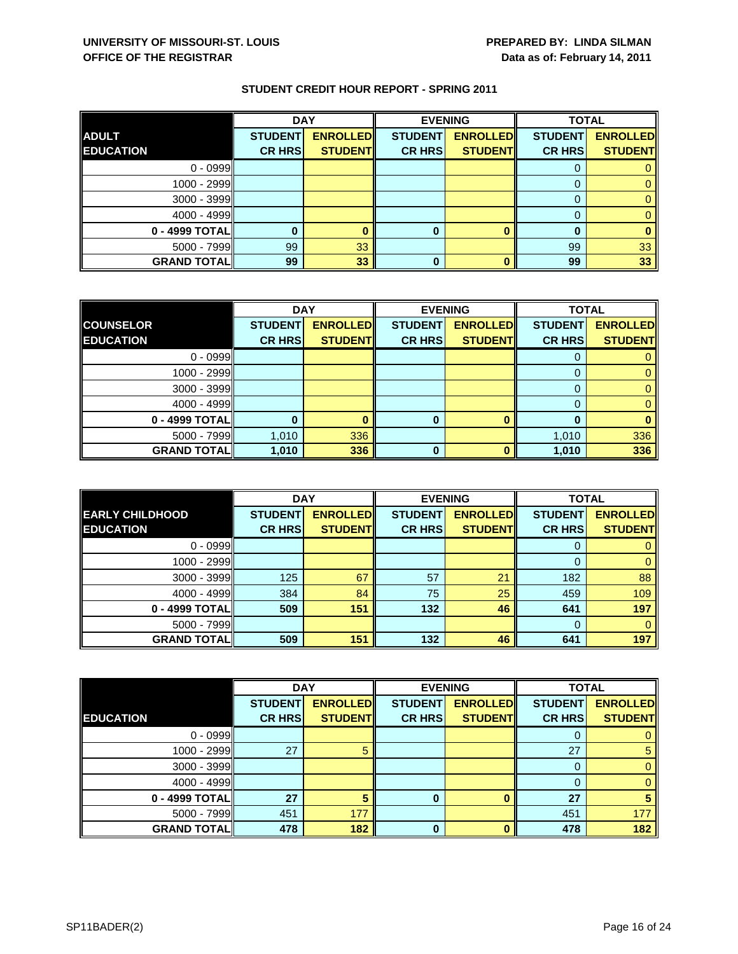|                    | <b>DAY</b>     |                 | <b>EVENING</b> |                 | <b>TOTAL</b>   |                 |
|--------------------|----------------|-----------------|----------------|-----------------|----------------|-----------------|
| <b>ADULT</b>       | <b>STUDENT</b> | <b>ENROLLED</b> | <b>STUDENT</b> | <b>ENROLLED</b> | <b>STUDENT</b> | <b>ENROLLED</b> |
| <b>EDUCATION</b>   | <b>CR HRS</b>  | <b>STUDENT</b>  | <b>CR HRS</b>  | <b>STUDENT</b>  | <b>CR HRS</b>  | <b>STUDENT</b>  |
| $0 - 0999$         |                |                 |                |                 |                |                 |
| 1000 - 2999        |                |                 |                |                 |                |                 |
| $3000 - 3999$      |                |                 |                |                 |                |                 |
| $4000 - 4999$      |                |                 |                |                 |                |                 |
| 0 - 4999 TOTAL     |                |                 | 0              |                 | 0              |                 |
| 5000 - 7999        | 99             | 33              |                |                 | 99             | 33              |
| <b>GRAND TOTAL</b> | 99             | 33              | 0              |                 | 99             | 33              |

|                    | <b>DAY</b>     |                 | <b>EVENING</b> |                 | <b>TOTAL</b>   |                 |
|--------------------|----------------|-----------------|----------------|-----------------|----------------|-----------------|
| <b>COUNSELOR</b>   | <b>STUDENT</b> | <b>ENROLLED</b> | <b>STUDENT</b> | <b>ENROLLED</b> | <b>STUDENT</b> | <b>ENROLLED</b> |
| <b>EDUCATION</b>   | <b>CR HRS</b>  | <b>STUDENT</b>  | <b>CR HRS</b>  | <b>STUDENT</b>  | <b>CR HRS</b>  | <b>STUDENT</b>  |
| $0 - 0999$         |                |                 |                |                 |                |                 |
| 1000 - 2999        |                |                 |                |                 | 0              |                 |
| $3000 - 3999$      |                |                 |                |                 |                |                 |
| $4000 - 4999$      |                |                 |                |                 |                |                 |
| 0 - 4999 TOTAL     |                |                 | 0              |                 |                |                 |
| $5000 - 7999$      | 1,010          | 336             |                |                 | 1,010          | 336             |
| <b>GRAND TOTAL</b> | 1,010          | 336             | ŋ              |                 | 1,010          | 336             |

|                        | <b>DAY</b>     |                 |                | <b>EVENING</b>  | <b>TOTAL</b>   |                 |
|------------------------|----------------|-----------------|----------------|-----------------|----------------|-----------------|
| <b>EARLY CHILDHOOD</b> | <b>STUDENT</b> | <b>ENROLLED</b> | <b>STUDENT</b> | <b>ENROLLED</b> | <b>STUDENT</b> | <b>ENROLLED</b> |
| <b>EDUCATION</b>       | <b>CR HRS</b>  | <b>STUDENT</b>  | <b>CR HRS</b>  | <b>STUDENT</b>  | <b>CR HRS</b>  | <b>STUDENT</b>  |
| $0 - 0999$             |                |                 |                |                 |                |                 |
| 1000 - 2999            |                |                 |                |                 | 0              | 0               |
| $3000 - 3999$          | 125            | 67              | 57             | 21              | 182            | 88              |
| $4000 - 4999$          | 384            | 84              | 75             | 25              | 459            | 109             |
| 0 - 4999 TOTALI        | 509            | 151             | 132            | 46              | 641            | 197             |
| $5000 - 7999$          |                |                 |                |                 | $\Omega$       |                 |
| <b>GRAND TOTAL</b>     | 509            | 151             | 132            | 46              | 641            | 197             |

|                    | <b>DAY</b>     |                 |                | <b>EVENING</b>  | <b>TOTAL</b>   |                 |
|--------------------|----------------|-----------------|----------------|-----------------|----------------|-----------------|
|                    | <b>STUDENT</b> | <b>ENROLLED</b> | <b>STUDENT</b> | <b>ENROLLED</b> | <b>STUDENT</b> | <b>ENROLLED</b> |
| <b>EDUCATION</b>   | <b>CR HRS</b>  | <b>STUDENT</b>  | <b>CR HRS</b>  | <b>STUDENT</b>  | <b>CR HRS</b>  | <b>STUDENT</b>  |
| $0 - 0999$         |                |                 |                |                 | O              | 0               |
| 1000 - 2999        | 27             |                 |                |                 | 27             | 5               |
| $3000 - 3999$      |                |                 |                |                 | 0              | $\mathbf{0}$    |
| $4000 - 4999$      |                |                 |                |                 | 0              | $\mathbf{0}$    |
| 0 - 4999 TOTAL     | 27             |                 | 0              |                 | 27             | 5               |
| 5000 - 7999        | 451            | 177             |                |                 | 451            | 177             |
| <b>GRAND TOTAL</b> | 478            | 182             | $\bf{0}$       | n               | 478            | 182             |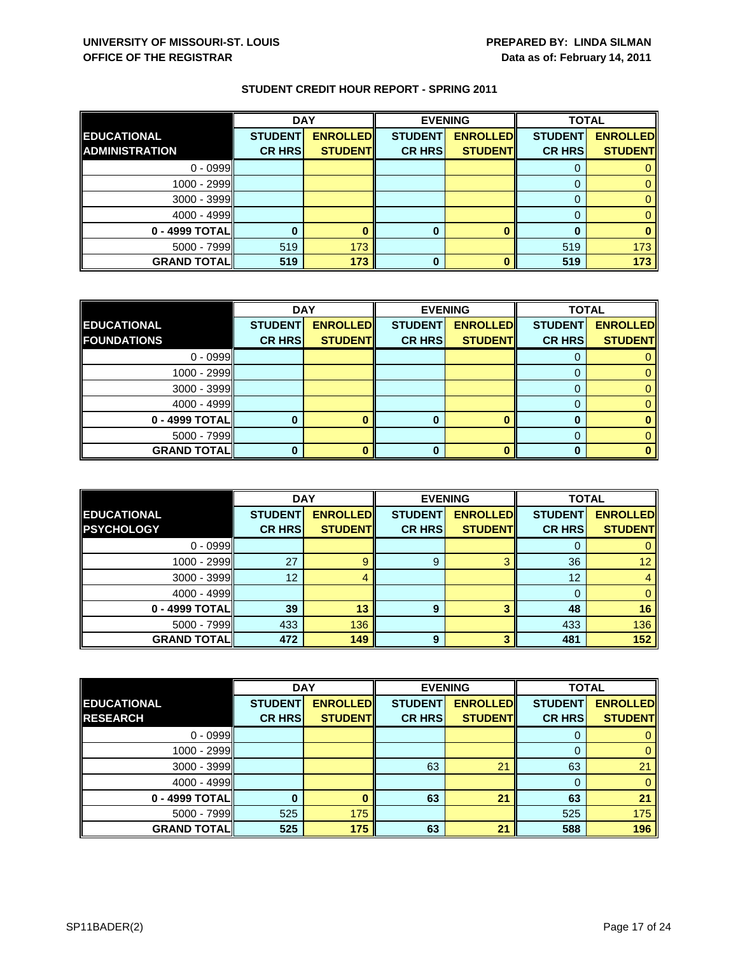|                       | <b>DAY</b>     |                 | <b>EVENING</b> |                 | <b>TOTAL</b>   |                 |
|-----------------------|----------------|-----------------|----------------|-----------------|----------------|-----------------|
| <b>EDUCATIONAL</b>    | <b>STUDENT</b> | <b>ENROLLED</b> | <b>STUDENT</b> | <b>ENROLLED</b> | <b>STUDENT</b> | <b>ENROLLED</b> |
| <b>ADMINISTRATION</b> | <b>CR HRS</b>  | <b>STUDENT</b>  | <b>CR HRS</b>  | <b>STUDENT</b>  | <b>CR HRS</b>  | <b>STUDENT</b>  |
| $0 - 0999$            |                |                 |                |                 |                |                 |
| $1000 - 2999$         |                |                 |                |                 |                |                 |
| $3000 - 3999$         |                |                 |                |                 |                |                 |
| $4000 - 4999$         |                |                 |                |                 |                |                 |
| 0 - 4999 TOTAL        |                |                 | 0              |                 |                |                 |
| $5000 - 7999$         | 519            | 173             |                |                 | 519            | 173             |
| <b>GRAND TOTAL</b>    | 519            | 173             | 0              |                 | 519            | 173             |

|                    |                | <b>DAY</b><br><b>EVENING</b> |                | <b>TOTAL</b>    |                |                 |
|--------------------|----------------|------------------------------|----------------|-----------------|----------------|-----------------|
| <b>EDUCATIONAL</b> | <b>STUDENT</b> | <b>ENROLLED</b>              | <b>STUDENT</b> | <b>ENROLLED</b> | <b>STUDENT</b> | <b>ENROLLED</b> |
| <b>FOUNDATIONS</b> | <b>CR HRS</b>  | <b>STUDENT</b>               | <b>CR HRS</b>  | <b>STUDENT</b>  | <b>CR HRS</b>  | <b>STUDENT</b>  |
| $0 - 0999$         |                |                              |                |                 |                |                 |
| $1000 - 2999$      |                |                              |                |                 |                |                 |
| $3000 - 3999$      |                |                              |                |                 |                |                 |
| $4000 - 4999$      |                |                              |                |                 |                |                 |
| 0 - 4999 TOTAL     |                |                              | 0              |                 |                |                 |
| $5000 - 7999$      |                |                              |                |                 |                |                 |
| <b>GRAND TOTAL</b> |                |                              |                |                 |                |                 |

|                                         | <b>DAY</b>     |                                   |                | <b>EVENING</b>                    |                | <b>TOTAL</b>    |  |
|-----------------------------------------|----------------|-----------------------------------|----------------|-----------------------------------|----------------|-----------------|--|
| <b>EDUCATIONAL</b><br><b>PSYCHOLOGY</b> | <b>STUDENT</b> | <b>ENROLLED</b><br><b>STUDENT</b> | <b>STUDENT</b> | <b>ENROLLED</b><br><b>STUDENT</b> | <b>STUDENT</b> | <b>ENROLLED</b> |  |
|                                         | <b>CR HRS</b>  |                                   | <b>CR HRS</b>  |                                   | <b>CR HRS</b>  | <b>STUDENT</b>  |  |
| $0 - 0999$                              |                |                                   |                |                                   |                |                 |  |
| $1000 - 2999$                           | 27             | g                                 | 9              | $\mathbf{\Omega}$                 | 36             | 12 <sup>2</sup> |  |
| $3000 - 3999$                           | 12             |                                   |                |                                   | 12             |                 |  |
| $4000 - 4999$                           |                |                                   |                |                                   |                |                 |  |
| 0 - 4999 TOTALI                         | 39             | 13                                | 9              |                                   | 48             | 16              |  |
| $5000 - 7999$                           | 433            | 136                               |                |                                   | 433            | 136             |  |
| <b>GRAND TOTAL</b>                      | 472            | 149                               | 9              |                                   | 481            | 152             |  |

|                    | <b>DAY</b>     |                 | <b>EVENING</b> |                 | <b>TOTAL</b>   |                 |
|--------------------|----------------|-----------------|----------------|-----------------|----------------|-----------------|
| <b>EDUCATIONAL</b> | <b>STUDENT</b> | <b>ENROLLED</b> | <b>STUDENT</b> | <b>ENROLLED</b> | <b>STUDENT</b> | <b>ENROLLED</b> |
| <b>RESEARCH</b>    | <b>CR HRS</b>  | <b>STUDENT</b>  | <b>CR HRS</b>  | <b>STUDENT</b>  | <b>CR HRS</b>  | <b>STUDENT</b>  |
| $0 - 0999$         |                |                 |                |                 | 0              | 0               |
| 1000 - 2999        |                |                 |                |                 | 0              | $\mathbf{0}$    |
| $3000 - 3999$      |                |                 | 63             | 21              | 63             | 21              |
| $4000 - 4999$      |                |                 |                |                 | 0              | $\mathbf{0}$    |
| 0 - 4999 TOTAL     |                |                 | 63             | 21              | 63             | 21              |
| $5000 - 7999$      | 525            | 175             |                |                 | 525            | 175             |
| <b>GRAND TOTAL</b> | 525            | 175             | 63             | 21              | 588            | 196             |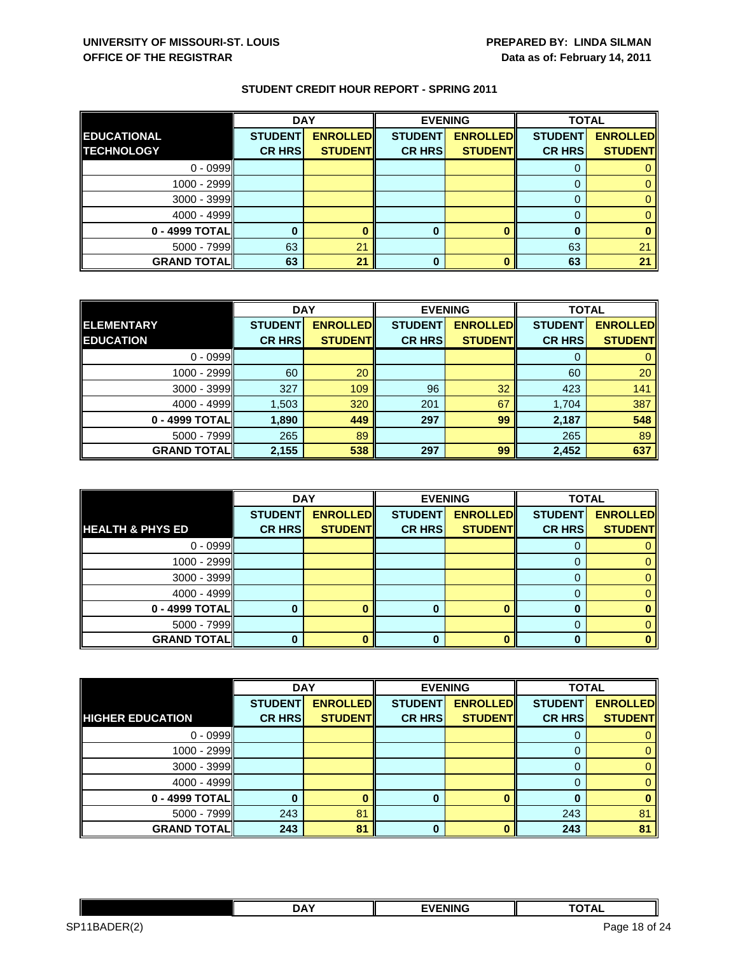|                    | <b>DAY</b>     |                 | <b>EVENING</b> |                 | <b>TOTAL</b>   |                 |
|--------------------|----------------|-----------------|----------------|-----------------|----------------|-----------------|
| <b>EDUCATIONAL</b> | <b>STUDENT</b> | <b>ENROLLED</b> | <b>STUDENT</b> | <b>ENROLLED</b> | <b>STUDENT</b> | <b>ENROLLED</b> |
| <b>TECHNOLOGY</b>  | <b>CR HRS</b>  | <b>STUDENT</b>  | <b>CR HRS</b>  | <b>STUDENT</b>  | <b>CR HRS</b>  | <b>STUDENT</b>  |
| $0 - 0999$         |                |                 |                |                 |                |                 |
| $1000 - 2999$      |                |                 |                |                 |                |                 |
| $3000 - 3999$      |                |                 |                |                 |                |                 |
| $4000 - 4999$      |                |                 |                |                 |                |                 |
| 0 - 4999 TOTAL     |                |                 | 0              |                 |                |                 |
| $5000 - 7999$      | 63             | 21              |                |                 | 63             | 21              |
| <b>GRAND TOTAL</b> | 63             | 21              | 0              |                 | 63             | 21              |

|                    | <b>DAY</b>     |                 |                | <b>EVENING</b>  | <b>TOTAL</b>   |                 |
|--------------------|----------------|-----------------|----------------|-----------------|----------------|-----------------|
| <b>ELEMENTARY</b>  | <b>STUDENT</b> | <b>ENROLLED</b> | <b>STUDENT</b> | <b>ENROLLED</b> | <b>STUDENT</b> | <b>ENROLLED</b> |
| <b>EDUCATION</b>   | <b>CR HRS</b>  | <b>STUDENT</b>  | <b>CR HRS</b>  | <b>STUDENT</b>  | <b>CR HRS</b>  | <b>STUDENT</b>  |
| $0 - 0999$         |                |                 |                |                 |                |                 |
| 1000 - 2999        | 60             | 20              |                |                 | 60             | 20              |
| $3000 - 3999$      | 327            | 109             | 96             | 32              | 423            | 141             |
| $4000 - 4999$      | 1,503          | 320             | 201            | 67              | 1,704          | 387             |
| 0 - 4999 TOTAL     | 1,890          | 449             | 297            | 99              | 2,187          | 548             |
| $5000 - 7999$      | 265            | 89              |                |                 | 265            | 89              |
| <b>GRAND TOTAL</b> | 2,155          | 538             | 297            | 99              | 2,452          | 637             |

|                             | <b>DAY</b>     |                 |                | <b>EVENING</b>  | <b>TOTAL</b>   |                 |
|-----------------------------|----------------|-----------------|----------------|-----------------|----------------|-----------------|
|                             | <b>STUDENT</b> | <b>ENROLLED</b> | <b>STUDENT</b> | <b>ENROLLED</b> | <b>STUDENT</b> | <b>ENROLLED</b> |
| <b>HEALTH &amp; PHYS ED</b> | <b>CR HRS</b>  | <b>STUDENT</b>  | <b>CR HRS</b>  | <b>STUDENT</b>  | <b>CR HRS</b>  | <b>STUDENT</b>  |
| $0 - 0999$                  |                |                 |                |                 |                |                 |
| 1000 - 2999                 |                |                 |                |                 |                |                 |
| $3000 - 3999$               |                |                 |                |                 |                |                 |
| $4000 - 4999$               |                |                 |                |                 |                |                 |
| 0 - 4999 TOTAL              |                |                 | 0              |                 |                |                 |
| $5000 - 7999$               |                |                 |                |                 |                |                 |
| <b>GRAND TOTAL</b>          |                |                 |                |                 |                |                 |

|                          | <b>DAY</b>     |                 |                | <b>EVENING</b>  | <b>TOTAL</b>   |                 |
|--------------------------|----------------|-----------------|----------------|-----------------|----------------|-----------------|
|                          | <b>STUDENT</b> | <b>ENROLLED</b> | <b>STUDENT</b> | <b>ENROLLED</b> | <b>STUDENT</b> | <b>ENROLLED</b> |
| <b>IHIGHER EDUCATION</b> | <b>CR HRS</b>  | <b>STUDENT</b>  | <b>CR HRS</b>  | <b>STUDENT</b>  | <b>CR HRS</b>  | <b>STUDENT</b>  |
| $0 - 0999$               |                |                 |                |                 | U              |                 |
| 1000 - 2999              |                |                 |                |                 | 0              | 0               |
| $3000 - 3999$            |                |                 |                |                 | 0              | 0               |
| $4000 - 4999$            |                |                 |                |                 | 0              | 0               |
| 0 - 4999 TOTAL           |                |                 | $\bf{0}$       |                 | O              | 0               |
| 5000 - 7999              | 243            | 81              |                |                 | 243            | 81              |
| <b>GRAND TOTAL</b>       | 243            | 81              | 0              |                 | 243            | 81              |

|                                                           | <b>DAY</b> |  | ----<br>ль |         |  |
|-----------------------------------------------------------|------------|--|------------|---------|--|
| $P - P$<br>SP <sub>1</sub><br><b>BADER</b> I<br>ו ושהטרון |            |  | Page 18    | of $24$ |  |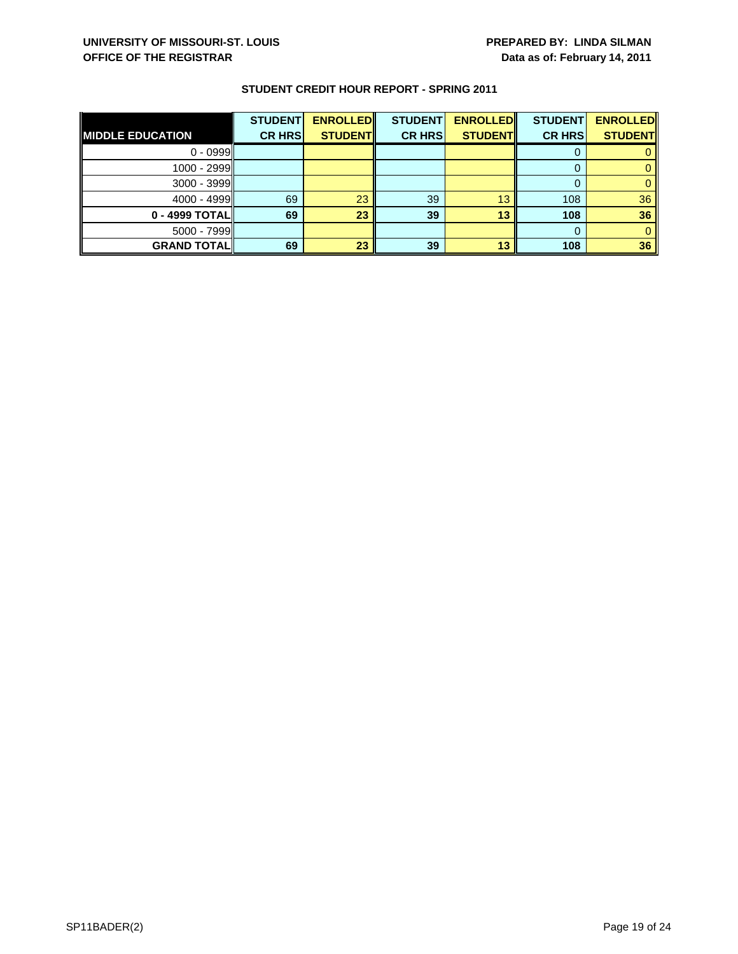|                         | <b>STUDENT</b> | <b>ENROLLED</b> | <b>STUDENT</b> | <b>ENROLLED</b> | <b>STUDENT</b> | <b>ENROLLED</b> |
|-------------------------|----------------|-----------------|----------------|-----------------|----------------|-----------------|
| <b>MIDDLE EDUCATION</b> | <b>CR HRS</b>  | <b>STUDENT</b>  | <b>CR HRS</b>  | <b>STUDENT</b>  | <b>CR HRS</b>  | <b>STUDENT</b>  |
| $0 - 0999$              |                |                 |                |                 |                |                 |
| $1000 - 2999$           |                |                 |                |                 |                |                 |
| $3000 - 3999$           |                |                 |                |                 |                |                 |
| $4000 - 4999$           | 69             | 23              | 39             | 13              | 108            | 36              |
| 0 - 4999 TOTALI         | 69             | 23              | 39             | 13              | 108            | 36              |
| $5000 - 7999$           |                |                 |                |                 |                |                 |
| <b>GRAND TOTAL</b>      | 69             | 23              | 39             | 13              | 108            | 36              |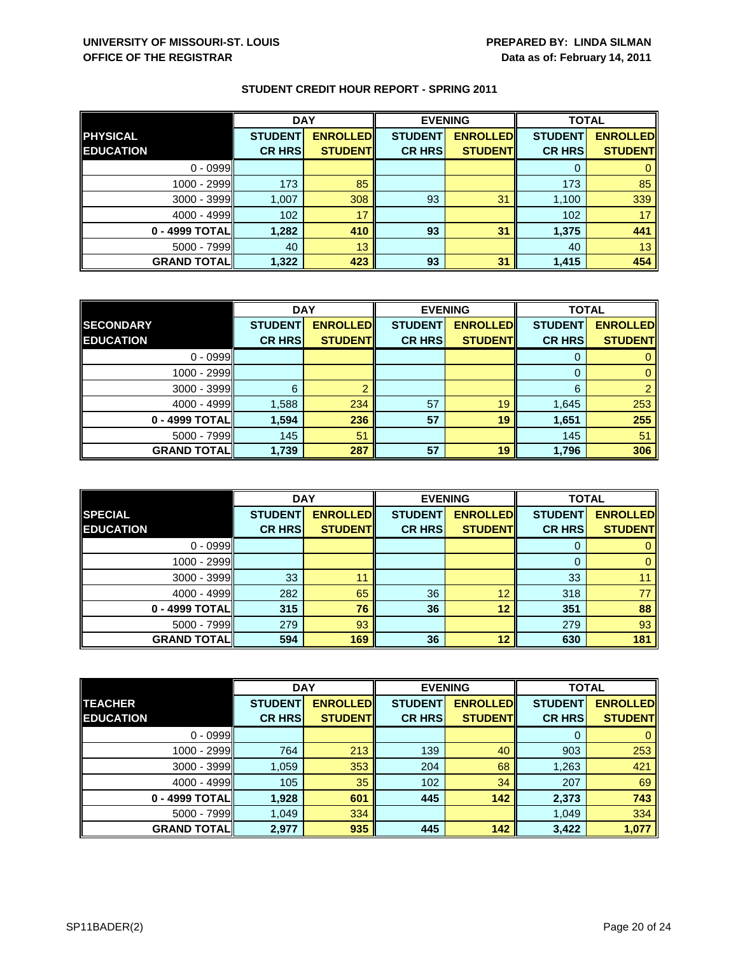|                    | <b>DAY</b>     |                 | <b>EVENING</b> |                 | <b>TOTAL</b>   |                 |
|--------------------|----------------|-----------------|----------------|-----------------|----------------|-----------------|
| <b>PHYSICAL</b>    | <b>STUDENT</b> | <b>ENROLLED</b> | <b>STUDENT</b> | <b>ENROLLED</b> | <b>STUDENT</b> | <b>ENROLLED</b> |
| <b>EDUCATION</b>   | <b>CR HRS</b>  | <b>STUDENT</b>  | <b>CR HRS</b>  | <b>STUDENT</b>  | <b>CR HRS</b>  | <b>STUDENT</b>  |
| $0 - 0999$         |                |                 |                |                 |                |                 |
| $1000 - 2999$      | 173            | 85              |                |                 | 173            | 85              |
| $3000 - 3999$      | 1,007          | 308             | 93             | 31              | 1,100          | 339             |
| $4000 - 4999$      | 102            | 17              |                |                 | 102            | 17              |
| 0 - 4999 TOTAL     | 1,282          | 410             | 93             | 31              | 1,375          | 441             |
| $5000 - 7999$      | 40             | 13              |                |                 | 40             | 13              |
| <b>GRAND TOTAL</b> | 1,322          | 423             | 93             | 31              | 1,415          | 454             |

|                    | <b>DAY</b>     |                 | <b>EVENING</b> |                 | <b>TOTAL</b>   |                 |
|--------------------|----------------|-----------------|----------------|-----------------|----------------|-----------------|
| <b>SECONDARY</b>   | <b>STUDENT</b> | <b>ENROLLED</b> | <b>STUDENT</b> | <b>ENROLLED</b> | <b>STUDENT</b> | <b>ENROLLED</b> |
| <b>EDUCATION</b>   | <b>CR HRS</b>  | <b>STUDENT</b>  | <b>CR HRS</b>  | <b>STUDENT</b>  | <b>CR HRS</b>  | <b>STUDENT</b>  |
| $0 - 0999$         |                |                 |                |                 |                |                 |
| 1000 - 2999        |                |                 |                |                 | O              |                 |
| $3000 - 3999$      | 6              |                 |                |                 | 6              |                 |
| $4000 - 4999$      | 1,588          | 234             | 57             | 19              | 1,645          | 253             |
| 0 - 4999 TOTAL     | 1,594          | 236             | 57             | 19              | 1,651          | 255             |
| $5000 - 7999$      | 145            | 51              |                |                 | 145            | 51              |
| <b>GRAND TOTAL</b> | 1,739          | 287             | 57             | 19              | 1,796          | 306             |

|                    | <b>DAY</b>     |                 |                | <b>EVENING</b>  | <b>TOTAL</b>   |                 |
|--------------------|----------------|-----------------|----------------|-----------------|----------------|-----------------|
| <b>SPECIAL</b>     | <b>STUDENT</b> | <b>ENROLLED</b> | <b>STUDENT</b> | <b>ENROLLED</b> | <b>STUDENT</b> | <b>ENROLLED</b> |
| <b>EDUCATION</b>   | <b>CR HRS</b>  | <b>STUDENT</b>  | <b>CR HRS</b>  | <b>STUDENT</b>  | <b>CR HRS</b>  | <b>STUDENT</b>  |
| $0 - 0999$         |                |                 |                |                 | U              |                 |
| $1000 - 2999$      |                |                 |                |                 | $\Omega$       | 0               |
| $3000 - 3999$      | 33             | 11              |                |                 | 33             |                 |
| $4000 - 4999$      | 282            | 65              | 36             | 12              | 318            | 77              |
| 0 - 4999 TOTALI    | 315            | 76              | 36             | 12              | 351            | 88              |
| $5000 - 7999$      | 279            | 93              |                |                 | 279            | 93              |
| <b>GRAND TOTAL</b> | 594            | 169             | 36             | 12              | 630            | 181             |

|                    | <b>DAY</b>     |                 |                | <b>EVENING</b>  | <b>TOTAL</b>   |                 |
|--------------------|----------------|-----------------|----------------|-----------------|----------------|-----------------|
| <b>TEACHER</b>     | <b>STUDENT</b> | <b>ENROLLED</b> | <b>STUDENT</b> | <b>ENROLLED</b> | <b>STUDENT</b> | <b>ENROLLED</b> |
| <b>EDUCATION</b>   | <b>CR HRS</b>  | <b>STUDENT</b>  | <b>CR HRS</b>  | <b>STUDENT</b>  | <b>CR HRS</b>  | <b>STUDENT</b>  |
| $0 - 0999$         |                |                 |                |                 | 0              | $\mathbf{0}$    |
| 1000 - 2999        | 764            | 213             | 139            | 40              | 903            | 253             |
| $3000 - 3999$      | 1,059          | 353             | 204            | 68              | 1,263          | 421             |
| $4000 - 4999$      | 105            | 35              | 102            | 34              | 207            | 69              |
| 0 - 4999 TOTAL     | 1,928          | 601             | 445            | 142             | 2,373          | 743             |
| $5000 - 7999$      | 1,049          | 334             |                |                 | 1,049          | 334             |
| <b>GRAND TOTAL</b> | 2,977          | 935             | 445            | 142             | 3,422          | 1,077           |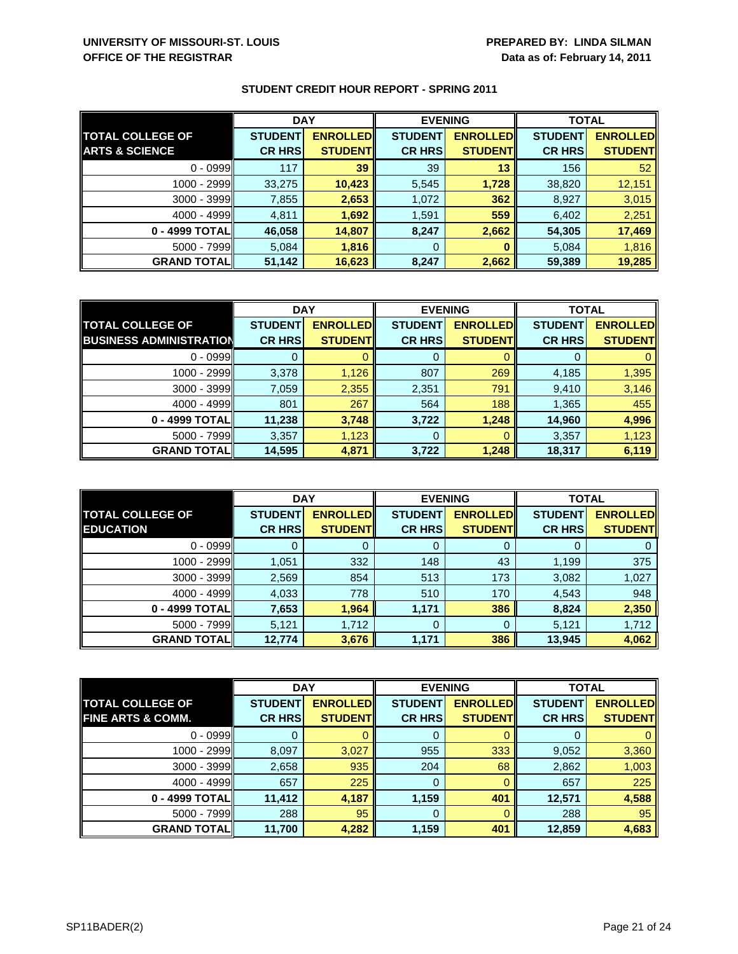|                           | <b>DAY</b>     |                 | <b>EVENING</b> |                 | <b>TOTAL</b>   |                 |
|---------------------------|----------------|-----------------|----------------|-----------------|----------------|-----------------|
| <b>TOTAL COLLEGE OF</b>   | <b>STUDENT</b> | <b>ENROLLED</b> | <b>STUDENT</b> | <b>ENROLLED</b> | <b>STUDENT</b> | <b>ENROLLED</b> |
| <b>ARTS &amp; SCIENCE</b> | <b>CR HRS</b>  | <b>STUDENTI</b> | <b>CR HRS</b>  | <b>STUDENT</b>  | <b>CR HRS</b>  | <b>STUDENT</b>  |
| $0 - 0999$                | 117            | 39              | 39             | 13              | 156            | 52              |
| $1000 - 2999$             | 33,275         | 10,423          | 5,545          | 1,728           | 38,820         | 12,151          |
| $3000 - 3999$             | 7,855          | 2,653           | 1,072          | 362             | 8,927          | 3,015           |
| $4000 - 4999$             | 4,811          | 1,692           | 1,591          | 559             | 6,402          | 2,251           |
| 0 - 4999 TOTALI           | 46,058         | 14,807          | 8,247          | 2,662           | 54,305         | 17,469          |
| $5000 - 7999$             | 5,084          | 1,816           | 0              |                 | 5,084          | 1,816           |
| <b>GRAND TOTAL</b>        | 51,142         | 16,623          | 8,247          | 2,662           | 59,389         | 19,285          |

|                                | <b>DAY</b>     |                 | <b>EVENING</b> |                 | <b>TOTAL</b>   |                 |
|--------------------------------|----------------|-----------------|----------------|-----------------|----------------|-----------------|
| <b>TOTAL COLLEGE OF</b>        | <b>STUDENT</b> | <b>ENROLLED</b> | <b>STUDENT</b> | <b>ENROLLED</b> | <b>STUDENT</b> | <b>ENROLLED</b> |
| <b>BUSINESS ADMINISTRATION</b> | <b>CR HRS</b>  | <b>STUDENT</b>  | <b>CR HRS</b>  | <b>STUDENT</b>  | <b>CR HRS</b>  | <b>STUDENT</b>  |
| $0 - 0999$                     |                |                 | 0              |                 |                |                 |
| 1000 - 2999                    | 3,378          | 1,126           | 807            | 269             | 4,185          | 1,395           |
| $3000 - 3999$                  | 7,059          | 2,355           | 2,351          | 791             | 9,410          | 3,146           |
| $4000 - 4999$                  | 801            | 267             | 564            | 188             | 1,365          | 455             |
| 0 - 4999 TOTAL                 | 11,238         | 3,748           | 3,722          | 1,248           | 14,960         | 4,996           |
| $5000 - 7999$                  | 3,357          | 1,123           | 0              |                 | 3,357          | 1,123           |
| <b>GRAND TOTAL</b>             | 14,595         | 4,871           | 3,722          | 1,248           | 18,317         | 6,119           |

|                                             | <b>DAY</b>     |                                    |                | <b>EVENING</b>                     | <b>TOTAL</b>   |                                   |
|---------------------------------------------|----------------|------------------------------------|----------------|------------------------------------|----------------|-----------------------------------|
| <b>TOTAL COLLEGE OF</b><br><b>EDUCATION</b> | <b>STUDENT</b> | <b>ENROLLED</b><br><b>STUDENTI</b> | <b>STUDENT</b> | <b>ENROLLED</b><br><b>STUDENTI</b> | <b>STUDENT</b> | <b>ENROLLED</b><br><b>STUDENT</b> |
|                                             | <b>CR HRS</b>  |                                    | <b>CR HRS</b>  |                                    | <b>CR HRS</b>  |                                   |
| $0 - 0999$                                  |                |                                    | 0              |                                    | O              | 0                                 |
| 1000 - 2999                                 | 1,051          | 332                                | 148            | 43                                 | 1,199          | 375                               |
| 3000 - 3999                                 | 2,569          | 854                                | 513            | 173                                | 3,082          | 1,027                             |
| $4000 - 4999$                               | 4,033          | 778                                | 510            | 170                                | 4,543          | 948                               |
| 0 - 4999 TOTALI                             | 7,653          | 1,964                              | 1,171          | 386                                | 8,824          | 2,350                             |
| $5000 - 7999$                               | 5,121          | 1,712                              | 0              |                                    | 5,121          | 1,712                             |
| <b>GRAND TOTAL</b>                          | 12,774         | 3,676                              | 1,171          | 386                                | 13,945         | 4,062                             |

|                              | <b>DAY</b>     |                 | <b>EVENING</b> |                 | <b>TOTAL</b>   |                 |
|------------------------------|----------------|-----------------|----------------|-----------------|----------------|-----------------|
| <b>TOTAL COLLEGE OF</b>      | <b>STUDENT</b> | <b>ENROLLED</b> | <b>STUDENT</b> | <b>ENROLLED</b> | <b>STUDENT</b> | <b>ENROLLED</b> |
| <b>FINE ARTS &amp; COMM.</b> | <b>CR HRS</b>  | <b>STUDENT</b>  | <b>CR HRS</b>  | <b>STUDENT</b>  | <b>CR HRS</b>  | <b>STUDENT</b>  |
| $0 - 0999$                   |                |                 | 0              |                 | O              | $\mathbf{0}$    |
| 1000 - 2999                  | 8,097          | 3,027           | 955            | 333             | 9,052          | 3,360           |
| $3000 - 3999$                | 2,658          | 935             | 204            | 68              | 2,862          | 1,003           |
| $4000 - 4999$                | 657            | 225             | 0              |                 | 657            | 225             |
| 0 - 4999 TOTAL               | 11,412         | 4,187           | 1,159          | 401             | 12,571         | 4,588           |
| $5000 - 7999$                | 288            | 95              | $\mathbf 0$    |                 | 288            | 95              |
| <b>GRAND TOTALI</b>          | 11,700         | 4,282           | 1,159          | 401             | 12,859         | 4,683           |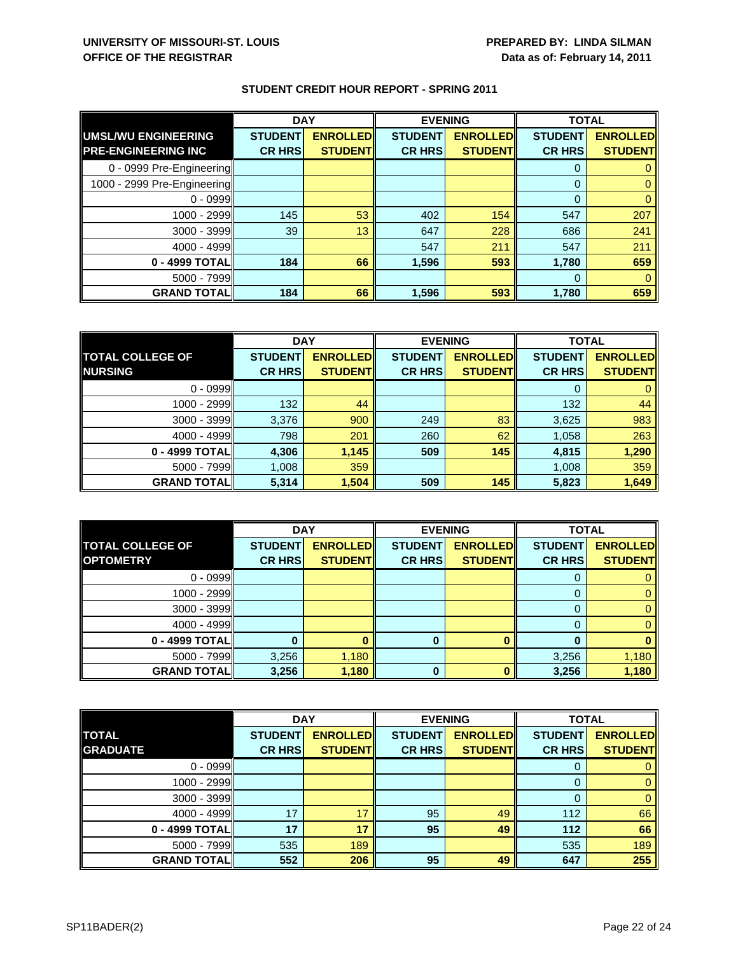|                             | <b>DAY</b>     |                 | <b>EVENING</b> |                 | <b>TOTAL</b>   |                 |
|-----------------------------|----------------|-----------------|----------------|-----------------|----------------|-----------------|
| UMSL/WU ENGINEERING         | <b>STUDENT</b> | <b>ENROLLED</b> | <b>STUDENT</b> | <b>ENROLLED</b> | <b>STUDENT</b> | <b>ENROLLED</b> |
| <b>PRE-ENGINEERING INC</b>  | <b>CR HRS</b>  | <b>STUDENT</b>  | <b>CR HRS</b>  | <b>STUDENT</b>  | <b>CR HRS</b>  | <b>STUDENT</b>  |
| 0 - 0999 Pre-Engineering    |                |                 |                |                 | $\Omega$       |                 |
| 1000 - 2999 Pre-Engineering |                |                 |                |                 | $\Omega$       | 0               |
| $0 - 0999$                  |                |                 |                |                 | $\Omega$       |                 |
| 1000 - 2999                 | 145            | 53              | 402            | 154             | 547            | 207             |
| $3000 - 3999$               | 39             | 13              | 647            | 228             | 686            | 241             |
| $4000 - 4999$               |                |                 | 547            | 211             | 547            | 211             |
| 0 - 4999 TOTAL              | 184            | 66              | 1,596          | 593             | 1,780          | 659             |
| 5000 - 7999                 |                |                 |                |                 | 0              |                 |
| <b>GRAND TOTAL</b>          | 184            | 66              | 1,596          | 593             | 1,780          | 659             |

|                         | <b>DAY</b>     |                 | <b>EVENING</b> |                 | <b>TOTAL</b>   |                 |
|-------------------------|----------------|-----------------|----------------|-----------------|----------------|-----------------|
| <b>TOTAL COLLEGE OF</b> | <b>STUDENT</b> | <b>ENROLLED</b> | <b>STUDENT</b> | <b>ENROLLED</b> | <b>STUDENT</b> | <b>ENROLLED</b> |
| <b>NURSING</b>          | <b>CR HRS</b>  | <b>STUDENT</b>  | <b>CR HRS</b>  | <b>STUDENT</b>  | <b>CR HRS</b>  | <b>STUDENT</b>  |
| $0 - 0999$              |                |                 |                |                 |                |                 |
| 1000 - 2999             | 132            | 44              |                |                 | 132            | 44              |
| $3000 - 3999$           | 3,376          | 900             | 249            | 83              | 3,625          | 983             |
| $4000 - 4999$           | 798            | 201             | 260            | 62              | 1,058          | 263             |
| 0 - 4999 TOTAL          | 4,306          | 1,145           | 509            | 145             | 4,815          | 1,290           |
| $5000 - 7999$           | 1,008          | 359             |                |                 | 1,008          | 359             |
| <b>GRAND TOTALI</b>     | 5,314          | 1,504           | 509            | 145             | 5,823          | 1,649           |

|                         | <b>DAY</b>     |                 | <b>EVENING</b> |                 | <b>TOTAL</b>   |                 |
|-------------------------|----------------|-----------------|----------------|-----------------|----------------|-----------------|
| <b>TOTAL COLLEGE OF</b> | <b>STUDENT</b> | <b>ENROLLED</b> | <b>STUDENT</b> | <b>ENROLLED</b> | <b>STUDENT</b> | <b>ENROLLED</b> |
| <b>OPTOMETRY</b>        | <b>CR HRS</b>  | <b>STUDENT</b>  | <b>CR HRS</b>  | <b>STUDENT</b>  | <b>CR HRS</b>  | <b>STUDENT</b>  |
| $0 - 0999$              |                |                 |                |                 |                |                 |
| 1000 - 2999             |                |                 |                |                 |                |                 |
| $3000 - 3999$           |                |                 |                |                 |                |                 |
| $4000 - 4999$           |                |                 |                |                 |                |                 |
| 0 - 4999 TOTAL          |                |                 | 0              |                 |                |                 |
| $5000 - 7999$           | 3,256          | 1,180           |                |                 | 3,256          | 1,180           |
| <b>GRAND TOTAL</b>      | 3,256          | 1,180           | 0              |                 | 3,256          | 1,180           |

|                    | <b>DAY</b>     |                 | <b>EVENING</b> |                 | <b>TOTAL</b>   |                 |
|--------------------|----------------|-----------------|----------------|-----------------|----------------|-----------------|
| <b>TOTAL</b>       | <b>STUDENT</b> | <b>ENROLLED</b> | <b>STUDENT</b> | <b>ENROLLED</b> | <b>STUDENT</b> | <b>ENROLLED</b> |
| <b>GRADUATE</b>    | <b>CR HRS</b>  | <b>STUDENTI</b> | <b>CR HRS</b>  | <b>STUDENT</b>  | <b>CR HRS</b>  | <b>STUDENT</b>  |
| $0 - 0999$         |                |                 |                |                 |                |                 |
| 1000 - 2999        |                |                 |                |                 |                | 0               |
| 3000 - 3999        |                |                 |                |                 |                |                 |
| $4000 - 4999$      | 17             | 17              | 95             | 49              | 112            | 66              |
| 0 - 4999 TOTAL     | 17             | 17              | 95             | 49              | 112            | 66              |
| $5000 - 7999$      | 535            | 189             |                |                 | 535            | 189             |
| <b>GRAND TOTAL</b> | 552            | 206             | 95             | 49              | 647            | 255             |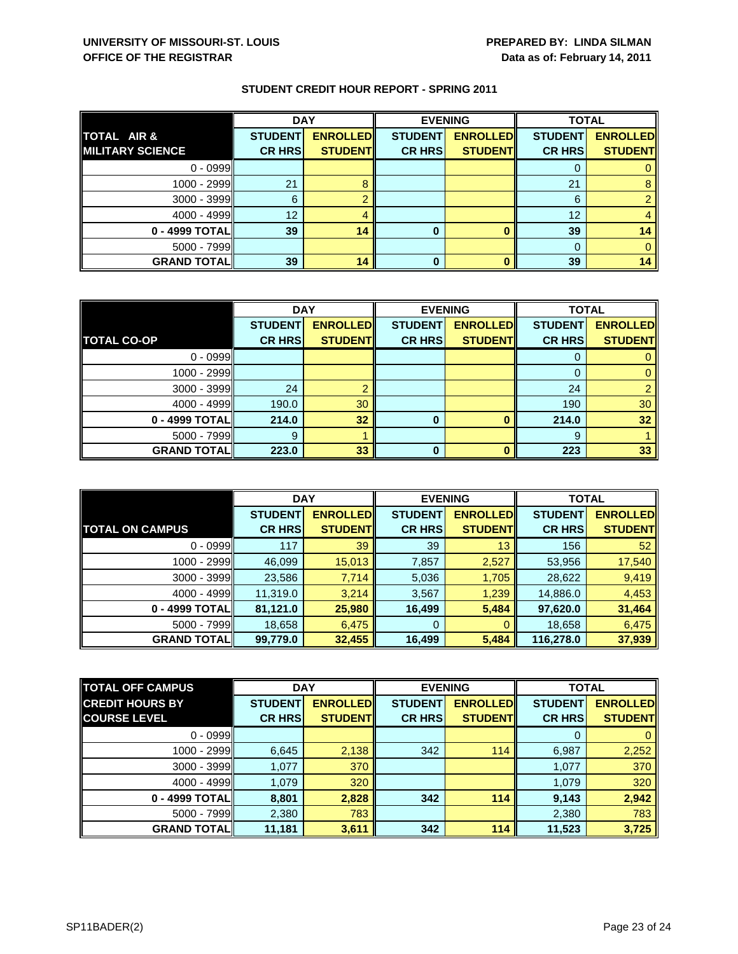|                         | <b>DAY</b>     |                 | <b>EVENING</b> |                 | <b>TOTAL</b>   |                 |
|-------------------------|----------------|-----------------|----------------|-----------------|----------------|-----------------|
| <b>TOTAL AIR &amp;</b>  | <b>STUDENT</b> | <b>ENROLLED</b> | <b>STUDENT</b> | <b>ENROLLED</b> | <b>STUDENT</b> | <b>ENROLLED</b> |
| <b>MILITARY SCIENCE</b> | <b>CR HRS</b>  | <b>STUDENT</b>  | <b>CR HRS</b>  | <b>STUDENT</b>  | <b>CR HRS</b>  | <b>STUDENT</b>  |
| $0 - 0999$              |                |                 |                |                 |                |                 |
| 1000 - 2999             | 21             |                 |                |                 | 21             |                 |
| $3000 - 3999$           | 6              |                 |                |                 | 6              |                 |
| $4000 - 4999$           | 12             |                 |                |                 | 12             |                 |
| $0 - 4999$ TOTAL        | 39             | 14              | 0              |                 | 39             | 14              |
| $5000 - 7999$           |                |                 |                |                 |                |                 |
| <b>GRAND TOTAL</b>      | 39             | 14              | 0              |                 | 39             | 14              |

|                    | <b>DAY</b>     |                 | <b>EVENING</b> |                 | <b>TOTAL</b>   |                 |
|--------------------|----------------|-----------------|----------------|-----------------|----------------|-----------------|
|                    | <b>STUDENT</b> | <b>ENROLLED</b> | <b>STUDENT</b> | <b>ENROLLED</b> | <b>STUDENT</b> | <b>ENROLLED</b> |
| <b>TOTAL CO-OP</b> | <b>CR HRS</b>  | <b>STUDENT</b>  | <b>CR HRS</b>  | <b>STUDENT</b>  | <b>CR HRS</b>  | <b>STUDENT</b>  |
| $0 - 0999$         |                |                 |                |                 |                |                 |
| 1000 - 2999        |                |                 |                |                 | O              |                 |
| $3000 - 3999$      | 24             | റ               |                |                 | 24             |                 |
| 4000 - 4999        | 190.0          | 30              |                |                 | 190            | 30              |
| 0 - 4999 TOTAL     | 214.0          | 32              | 0              |                 | 214.0          | 32              |
| $5000 - 7999$      |                |                 |                |                 | 9              |                 |
| <b>GRAND TOTAL</b> | 223.0          | 33              | ŋ              |                 | 223            | 33              |

|                        | <b>DAY</b>     |                  | <b>EVENING</b> |                 | <b>TOTAL</b>   |                 |
|------------------------|----------------|------------------|----------------|-----------------|----------------|-----------------|
|                        | <b>STUDENT</b> | <b>ENROLLEDI</b> | <b>STUDENT</b> | <b>ENROLLED</b> | <b>STUDENT</b> | <b>ENROLLED</b> |
| <b>TOTAL ON CAMPUS</b> | <b>CR HRS</b>  | <b>STUDENT</b>   | <b>CR HRS</b>  | <b>STUDENT</b>  | <b>CR HRS</b>  | <b>STUDENT</b>  |
| $0 - 0999$             | 117            | 39               | 39             | 13              | 156            | 52              |
| $1000 - 2999$          | 46,099         | 15,013           | 7,857          | 2,527           | 53,956         | 17,540          |
| $3000 - 3999$          | 23,586         | 7,714            | 5,036          | 1,705           | 28,622         | 9,419           |
| $4000 - 4999$          | 11,319.0       | 3,214            | 3,567          | 1,239           | 14,886.0       | 4,453           |
| 0 - 4999 TOTAL         | 81,121.0       | 25,980           | 16,499         | 5,484           | 97,620.0       | 31,464          |
| $5000 - 7999$          | 18,658         | 6,475            | 0              | O               | 18,658         | 6,475           |
| <b>GRAND TOTALI</b>    | 99,779.0       | 32,455           | 16,499         | 5,484           | 116,278.0      | 37,939          |

| <b>TOTAL OFF CAMPUS</b> | <b>DAY</b>     |                 | <b>EVENING</b> |                 | <b>TOTAL</b>   |                 |
|-------------------------|----------------|-----------------|----------------|-----------------|----------------|-----------------|
| <b>CREDIT HOURS BY</b>  | <b>STUDENT</b> | <b>ENROLLED</b> | <b>STUDENT</b> | <b>ENROLLED</b> | <b>STUDENT</b> | <b>ENROLLED</b> |
| <b>COURSE LEVEL</b>     | <b>CR HRS</b>  | <b>STUDENT</b>  | <b>CR HRS</b>  | <b>STUDENT</b>  | <b>CR HRS</b>  | <b>STUDENT</b>  |
| $0 - 0999$              |                |                 |                |                 | $\Omega$       | $\mathbf{0}$    |
| 1000 - 2999             | 6,645          | 2,138           | 342            | 114             | 6,987          | 2,252           |
| $3000 - 3999$           | 1,077          | 370             |                |                 | 1,077          | 370             |
| $4000 - 4999$           | 1,079          | 320             |                |                 | 1,079          | 320             |
| 0 - 4999 TOTALI         | 8,801          | 2,828           | 342            | 114             | 9,143          | 2,942           |
| $5000 - 7999$           | 2,380          | 783             |                |                 | 2,380          | 783             |
| <b>GRAND TOTAL</b>      | 11,181         | 3,611           | 342            | 114             | 11,523         | 3,725           |